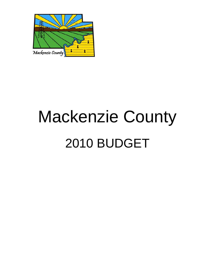

# Mackenzie County 2010 BUDGET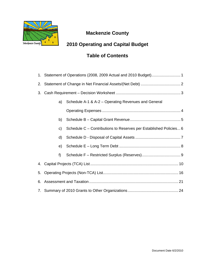

## **Mackenzie County**

# **2010 Operating and Capital Budget**

# **Table of Contents**

|       | 1. Statement of Operations (2008, 2009 Actual and 2010 Budget) 1  |
|-------|-------------------------------------------------------------------|
|       |                                                                   |
|       |                                                                   |
| a)    | Schedule A-1 & A-2 - Operating Revenues and General               |
|       |                                                                   |
| b)    |                                                                   |
| c)    | Schedule C – Contributions to Reserves per Established Policies 6 |
| d)    |                                                                   |
| e)    |                                                                   |
| $f$ ) |                                                                   |
|       |                                                                   |
|       |                                                                   |
|       |                                                                   |
|       |                                                                   |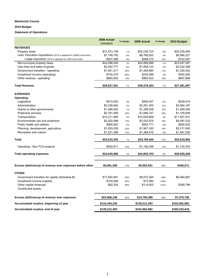#### **Mackenzie County**

#### **2010 Budget**

#### **Statement of Operations**

|                                                                      | 2008 Actual<br>(restated) | % change | 2009 Actual   | % change | 2010 Budget   |
|----------------------------------------------------------------------|---------------------------|----------|---------------|----------|---------------|
| <b>REVENUES</b>                                                      |                           |          |               |          |               |
| Property taxes                                                       | \$31,873,109              | 1%       | \$32,236,723  | $-6%$    | \$30,335,405  |
| Less: Education requisitions (2010 is adjusted for 20009 over/under) | \$7,149,792               | $-5%$    | \$6,768,922   | $-3%$    | \$6,566,221   |
| Lodge requisition (2010 is adjusted for 2009 over/under)             | \$627,268                 | $-9%$    | \$568,212     | 27%      | \$722,097     |
| Net municipal property taxes                                         | \$24,096,049              | 3%       | \$24,899,589  | $-7%$    | \$23,047,087  |
| User fees and sales of goods                                         | \$2,052,777               | $-6%$    | \$1,939,122   | 4%       | \$2,022,398   |
| Government transfers - operating                                     | \$1,941,217               | $-25%$   | \$1,448,984   | $-13%$   | \$1,254,523   |
| Investment income (operating)                                        | \$732,275                 | $-69%$   | \$230,586     | 8%       | \$250,000     |
| Other revenue - operating                                            | \$804,943                 | 19%      | \$960,023     | $-16%$   | \$807,689     |
| <b>Total Revenue</b>                                                 | \$29,627,261              | $-1%$    | \$29,478,304  | $-7%$    | \$27,381,697  |
| <b>EXPENSES</b>                                                      |                           |          |               |          |               |
| Operating                                                            |                           |          |               |          |               |
| Legislative                                                          | \$514,653                 | 9%       | \$559,407     | $-4%$    | \$539,619     |
| Administration                                                       | \$2,236,664               | 2%       | \$2,291,302   | 12%      | \$2,564,197   |
| Grants to other governments                                          | \$1,288,452               | 1%       | \$1,298,329   | 16%      | \$1,500,000   |
| Protective services                                                  | \$2,761,556               | $-39%$   | \$1,686,747   | $-34%$   | \$1,105,656   |
| Transportation                                                       | \$10,211,565              | 3%       | \$10,520,968  | 9%       | \$11,507,531  |
| Environmental use and protection                                     | \$3,202,088               | 10%      | \$3,532,975   | 16%      | \$4,087,232   |
| Public health and welfare                                            | \$585,853                 | 0%       | \$583,771     | 8%       | \$630,053     |
| Planning, development, agriculture                                   | \$1,593,036               | 20%      | \$1,907,330   | 16%      | \$2,217,045   |
| Recreation and culture                                               | \$1,221,388               | 14%      | \$1,388,576   | 6%       | \$1,467,530   |
| <b>Total</b>                                                         | \$23,615,255              | 1%       | \$23,769,405  | 7.8%     | \$25,618,863  |
| Operating - Non-TCA projects                                         | \$930,611                 | 24%      | \$1,156,348   | 14%      | \$1,316,763   |
| <b>Total operating expenses</b>                                      | \$24,545,866              | 2%       | \$24,925,753  | 8%       | \$26,935,626  |
| Excess (deficiency) of revenue over expenses before other            | \$5,081,395               | $-10%$   | \$4,552,551   | $-90%$   | \$446,071     |
| <b>OTHER</b>                                                         |                           |          |               |          |               |
|                                                                      |                           |          |               |          |               |
| Government transfers for capital (Schedule B)                        | \$17,620,461              | $-49%$   | \$9,072,364   | $-28%$   | \$6,564,867   |
| Investment income (capital)                                          | \$104,088                 | $-90%$   | \$10,082      | $-100%$  | \$359,798     |
| Other capital revenues<br>Contributed assets                         | \$62,204                  | 86%      | \$115,502     | 212%     |               |
| Excess (deficiency) of revenue over expenses                         | \$22,868,148              | $-40%$   | \$13,750,499  | $-46%$   | \$7,370,736   |
| Accumulated surplus, beginning of year                               | \$116,344,235             |          | \$139,212,383 |          | \$152,962,882 |
| Accumulated surplus, end of year                                     | \$139,212,383             |          | \$152,962,882 |          | \$160,333,618 |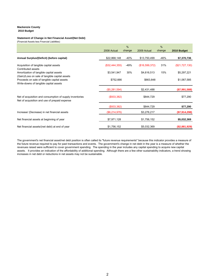#### **Mackenzie County 2010 Budget**

#### **Statement of Change in Net Financial Asset/(Net Debt)**

(Financial Assets less Financial Liabilities)

|                                                                                                                                         | 2008 Actual    | $\frac{0}{0}$<br>change | 2009 Actual    | $\%$<br>change | 2010 Budget    |
|-----------------------------------------------------------------------------------------------------------------------------------------|----------------|-------------------------|----------------|----------------|----------------|
| Annual Surplus/(Deficit) (before capital)                                                                                               | \$22,868,148   | -40%                    | \$13,750,499   | -46%           | \$7,370,736    |
| Acquisition of tangible capital assets<br>Contributed assets                                                                            | (\$32,444,355) | -49%                    | (\$16,599,372) | 31%            | (\$21,727,130) |
| Amortization of tangible capital assets                                                                                                 | \$3,541,947    | 30%                     | \$4,616,513    | 15%            | \$5,297,221    |
| (Gain)/Loss on sale of tangible capital assets<br>Proceeds on sale of tangible capital assets<br>Write-downs of tangible capital assets | \$752,666      |                         | \$663,848      |                | \$1,067,585    |
|                                                                                                                                         | (\$5,281,594)  |                         | \$2,431,488    |                | (\$7,991,588)  |
| Net of acquisition and consumption of supply inventories<br>Net of acquisition and use of prepaid expense                               | (\$933,382)    |                         | \$844,729      |                | \$77,290       |
|                                                                                                                                         | (\$933,382)    |                         | \$844,729      |                | \$77,290       |
| Increase/ (Decrease) in net financial assets                                                                                            | (\$6,214,976)  |                         | \$3,276,217    |                | (\$7,914,298)  |
| Net financial assets at beginning of year                                                                                               | \$7,971,128    |                         | \$1,756,152    |                | \$5,032,369    |
| Net financial assets/(net debt) at end of year                                                                                          | \$1,756,152    |                         | \$5,032,369    |                | (\$2,881,929)  |

The government's net financial asset/net debt position is often called its "future revenue requirements" because this indicator provides a measure of the future revenue required to pay for past transactions and events. The government's change in net debt in the year is a measure of whether the revenues raised were sufficient to cover government spending. The spending in the year includes any capital spending to acquire new capital assets. It provides an indication of the affordability of additional spending. Although there are a few other sustainability indicators, a trend showing increases in net debt or reductions in net assets may not be sustainable.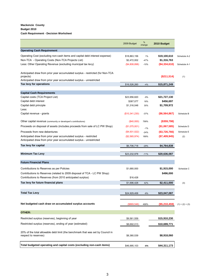#### **Mackenzie County Budget 2010 Cash Requirement - Decision Worksheet**

|                                                                                                                                          | 2009 Budget    | $\%$<br>change | 2010 Budget      |                   |
|------------------------------------------------------------------------------------------------------------------------------------------|----------------|----------------|------------------|-------------------|
| <b>Operating Cash Requirement</b>                                                                                                        |                |                |                  |                   |
| Operating Cost (excluding non-cash items and capital debt interest expense)                                                              | \$18,863,156   | 1%             | \$19,100,610     | Schedule A-2      |
| Non-TCA - Operating Costs (Non-TCA Projects List)                                                                                        | \$2,472,002    | $-47%$         | \$1,316,763      |                   |
| Less: Other Operating Revenue (excluding municipal tax levy)                                                                             | ( \$4,808,898) | $-10%$         | (\$4,334,610)    | Schedule A-1      |
| Anticipated draw from prior year accumulated surplus - restricted (for Non-TCA<br>projects)                                              |                |                | (S211, 514)      | (1)               |
| Anticipated draw from prior year accumulated surplus - unrestricted                                                                      |                |                |                  |                   |
| Tax levy for operations                                                                                                                  | \$16,526,260   | $-4%$          | \$15,871,249     |                   |
| <b>Capital Cash Requirements</b>                                                                                                         |                |                |                  |                   |
| Capital costs (TCA Project List)                                                                                                         | \$23,956,820   | $-9%$          | \$21,727,130     |                   |
| Capital debt interest                                                                                                                    | \$387,077      | 18%            | \$456,697        |                   |
| Capital debt principle<br>Less:                                                                                                          | \$1,316,048    | 30%            | \$1,709,972      |                   |
| Capital revenue - grants                                                                                                                 | (\$10,341,230) | $-37%$         | (\$6,564,867)    | Schedule B        |
| Other capital revenue (community or developer's contributions)                                                                           | (\$40,000)     | 799%           | $($ \$359,798)   |                   |
| Proceeds on disposal of assets (includes proceeds from sale of LC PW Shop)                                                               | (\$1,075,001)  | $-1%$          | (\$1,067,585)    | Schedule D        |
| Proceeds from new debentures                                                                                                             | (\$4,931,022)  | $-24%$         | $($ \$3,726,766) | Schedule E        |
| Anticipated draw from prior year accumulated surplus - restricted<br>Anticipated draw from prior year accumulated surplus - unrestricted | (\$2,565,974)  | 189%           | (\$7,409,945)    | (2)               |
| Tax levy for capital                                                                                                                     | \$6,706,718    | $-29%$         | \$4,764,838      |                   |
| <b>Minimum Tax Levy</b>                                                                                                                  | \$23,232,978   | $-11%$         | \$20,636,087     |                   |
|                                                                                                                                          |                |                |                  |                   |
| <b>Future Financial Plans</b>                                                                                                            |                |                |                  |                   |
| Contributions to Reserves as per Policies                                                                                                | \$1,680,000    |                | \$1,915,000      | Schedule C        |
| Contributions to Reserves (related to 2009 disposal of TCA - LC PW Shop)<br>Contributions to Reserves (from 2010 anticipated surplus)    | \$16,428       |                | \$496,000        |                   |
|                                                                                                                                          |                |                |                  |                   |
| Tax levy for future financial plans                                                                                                      | \$1,696,428    | 42%            | \$2,411,000      | (3)               |
| <b>Total Tax Levy</b>                                                                                                                    | \$24,929,406   | $-8%$          | \$23,047,087     |                   |
| Net budgeted cash draw on accumulated surplus accounts                                                                                   | (\$869,546)    | 499%           | (\$5,210,459)    | $(1) + (2) + (3)$ |
|                                                                                                                                          |                |                |                  |                   |
| <b>OTHER:</b>                                                                                                                            |                |                |                  |                   |
| Restricted surplus (reserves), beginning of year                                                                                         | \$9,561,559    |                | \$15,910,230     |                   |
| Restricted surplus (reserves), ending of year (estimated)                                                                                | \$8,692,013    |                | \$10,699,771     |                   |
| 20% of the total allowable debt limit (the benchmark that was set by Council in<br>respect to reserves)                                  | \$8,380,539    |                | \$8,918,060      |                   |
| Total budgeted operating and capital costs (excluding non-cash items)                                                                    | \$46,995,103   | -6%            | \$44,311,173     |                   |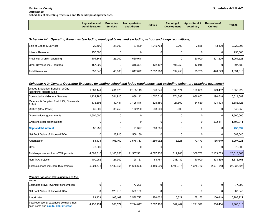| <b>Legislative and</b><br><b>Administration</b> | Services | <b>Protective Transportation</b><br>and Airport | <b>Utilities</b> | Development Veterinary | <b>Planning &amp; Agricultural &amp; Recreation &amp;</b> | <b>Cultural</b> | <b>TOTAL</b> |
|-------------------------------------------------|----------|-------------------------------------------------|------------------|------------------------|-----------------------------------------------------------|-----------------|--------------|
|-------------------------------------------------|----------|-------------------------------------------------|------------------|------------------------|-----------------------------------------------------------|-----------------|--------------|

#### *Schedule A-1: Operating Revenues (excluding municipal taxes, and excluding school and lodge requisitions)*

| Sale of Goods & Services      | 29.500  | 21.000 | 37.800    | 1.915.763 | 2.200   | 2.835  | 13.300  | 2,022,398 |
|-------------------------------|---------|--------|-----------|-----------|---------|--------|---------|-----------|
| Interest Revenue              | 250,000 |        |           | 01        |         |        |         | 250,000   |
| Provincial Grants - operating | 101,346 | 25.000 | 660.948   |           |         | 60.000 | 407.229 | 1,254,523 |
| Other Revenue incl. Frontage  | 157.000 |        | 318.324   | 122.197   | 197.250 | 12.918 |         | 807,689   |
| <b>Total Revenues</b>         | 537,846 | 46.000 | 1,017,072 | 2,037,960 | 199,450 | 75.753 | 420,529 | 4,334,610 |

#### *Schedule A-2: General Operating Expenses (excluding school and lodge requisitions, and excluding debenture principal payments)*

| Wages & Salaries, Benefits, WCB,<br>Recruiting, Honorariums | 1,560,141 | 201,926        | 2,165,149  | 876,041        | 508,174   | 190,089   | 149,402   | 5,650,922  |
|-------------------------------------------------------------|-----------|----------------|------------|----------------|-----------|-----------|-----------|------------|
| Contracted and General Services                             | 1,124,285 | 541,915        | 1,838,112  | 1,007,618      | 274,688   | 1,036,853 | 190,618   | 6,014,089  |
| Materials & Supplies, Fuel & Oil, Chemicals<br>& Salt       | 135,598   | 89,481         | 3,125,846  | 325,450        | 21,600    | 64,650    | 124,103   | 3,886,728  |
| Utilities (Gas, Power)                                      | 36,600    | 35,250         | 172,200    | 298,000        | 3,000     | 0         |           | 545,050    |
| Grants to local governments                                 | 1,500,000 | 0              |            | 01             | 0         | 0         |           | 1,500,000  |
| Grants to other organizations                               | 0         | $\overline{0}$ |            | 0l             | 0         | 0         | 1,502,311 | 1,502,311  |
| <b>Capital debt interest</b>                                | 85,259    | 0              | 71,377     | 300,061        | 0         | 0         | 0         | 456,697    |
| Net Book Value of disposed TCA                              | 0         | 128,915        | 558,130    | $\overline{0}$ |           | 0         |           | 687,045    |
| Amortization                                                | 83,133    | 108,169        | 3,576,717  | 1,280,062      | 5,321     | 77,170    | 166,649   | 5,297,221  |
| Other                                                       | 78,800    | 0              |            | $\Omega$       |           | ∩         |           | 78,800     |
| Total expenses excl. non-TCA projects                       | 4,603,816 | 1,105,656      | 11,507,531 | 4,087,232      | 812,783   | 1,368,762 | 2,133,083 | 25,618,863 |
| Non-TCA projects                                            | 400,962   | 27,300         | 128,167    | 63,767         | 288,132   | 10,000    | 398,435   | 1,316,763  |
| Total expenses incl. non-TCA projects                       | 5,004,778 | 1,132,956      | 11,635,698 | 4,150,999      | 1,100,915 | 1,378,762 | 2,531,518 | 26,935,626 |

#### *Remove non-cash items included in the above:*

| avove:                                                                            |           |         |           |           |         |           |           |            |
|-----------------------------------------------------------------------------------|-----------|---------|-----------|-----------|---------|-----------|-----------|------------|
| Estimated gravel inventory consumption                                            |           |         | 77.290    |           |         |           |           | 77.290     |
| Net Book Value of disposed TCA                                                    |           | 128.915 | 558.130   |           |         |           |           | 687,045    |
| Amortization                                                                      | 83.133    | 108.169 | 3.576.717 | 1,280,062 | 5.321   | 77.170    | 166.649   | 5,297,221  |
| Total operational expenses excluding non-<br>cash items and capital debt interest | 4.435.424 | 868.572 | 7.224.017 | 2.507.109 | 807.462 | 1.291.592 | 1.966.434 | 19,100,610 |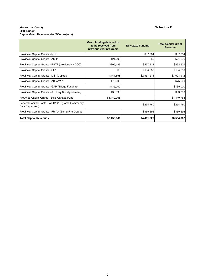#### **Mackenzie County Schedule B 2010 Budget Capital Grant Revenues (for TCA projects)**

|                                                                     | Grant funding deferred or<br>to be received from<br>previous year programs | New 2010 Funding | <b>Total Capital Grant</b><br><b>Revenue</b> |
|---------------------------------------------------------------------|----------------------------------------------------------------------------|------------------|----------------------------------------------|
| Provincial Capital Grants - MSP                                     |                                                                            | \$87,764         | \$87,764                                     |
| Provincial Capital Grants - AMIP                                    | \$21,696                                                                   | \$0              | \$21,696                                     |
| Provincial Capital Grants - FGTF (previously NDCC)                  | \$305,489                                                                  | \$557,412        | \$862,901                                    |
| Provincial Capital Grants - SIP                                     | \$0                                                                        | \$184,980        | \$184,980                                    |
| Provincial Capital Grants - MSI (Capital)                           | \$141,698                                                                  | \$2,957,214      | \$3,098,912                                  |
| Provincial Capital Grants - AB WWP                                  | \$75,000                                                                   |                  | \$75,000                                     |
| Provincial Capital Grants - GAP (Bridge Funding)                    | \$135,000                                                                  |                  | \$135,000                                    |
| Provincial Capital Grants - AT (Hwy 697 Agreement)                  | \$33,390                                                                   |                  | \$33,390                                     |
| Prov/Fed Capital Grants - Build Canada Fund                         | \$1,440,768                                                                |                  | \$1,440,768                                  |
| Federal Capital Grants - WED/CAF (Zama Community<br>Park Expansion) |                                                                            | \$254,760        | \$254,760                                    |
| Provincial Capital Grants - FRIAA (Zama Fire Guard)                 |                                                                            | \$369,696        | \$369,696                                    |
| <b>Total Capital Revenues</b>                                       | \$2,153,041                                                                | \$4,411,826      | \$6,564,867                                  |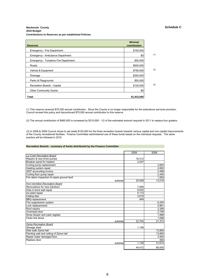#### **Mackenzie County Schedule C 2010 Budget Contributions to Reserves as per established Policies**

| <b>Reserves</b>                      | <b>Minimal</b><br>contribution |     |
|--------------------------------------|--------------------------------|-----|
| <b>Emergency - Fire Department</b>   | \$150,000                      |     |
| Emergency - Ambulance Department     | \$0                            | (1) |
| Emergency - Tompkins Fire Department | \$50,000                       |     |
| Roads                                | \$500,000                      |     |
| Vehicle & Equipment                  | \$795,000                      | (2) |
| Drainage                             | \$250,000                      |     |
| Parks & Playgrounds                  | \$50,000                       |     |
| Recreation Boards - Capital          | \$120,000                      | (3) |
| <b>Other Community Grants</b>        | \$0                            |     |
| Total                                | \$1,915,000                    |     |

(1) This reserve received \$75,000 annual contribution. Since the County is no longer responsible for the ambulance services provision, Council revised this policy and discontinued \$75,000 annual contribution to this reserve.

(2) The annual contribution of \$485,000 is increased by \$310,000 - 1/2 of the estimated amount required in 2011 to replace four graders.

(3) In 2008 & 2009 Council chose to set aside \$120,000 for the three recreation boards towards various capital and non-capital improvements of the County recreational facilities. Finance Committee administered use of these funds based on the individual requests. The same practice will be followed in 2010.

#### **Recreation Boards - summary of funds distributed by the Finance Committee**

|                                             | 2009   | 2008   |
|---------------------------------------------|--------|--------|
| La Crete Recreation Board                   |        |        |
| Repairs & new brine pumps                   | 18,312 |        |
| Breaker panel for heaters                   | 2.247  |        |
| Curling pump replacement                    |        | 3,820  |
| Heating system repair                       |        | 2,662  |
| 2007 accounting invoice                     |        | 2,498  |
| Curling floor pump repair                   |        | 2,445  |
| Fire alarm inspection & repair ground fault |        | 1,593  |
| subtotal                                    | 20,559 | 13,018 |
| <b>Fort Vermilion Recreation Board</b>      |        |        |
| Renovations for new Zamboni                 | 7,095  |        |
| Hole in brick wall repair                   | 6,632  |        |
| Ice plant repair                            | 5,113  |        |
| Ceiling tiles                               | 3.015  |        |
| <b>BBQ</b> replacement                      | 849    |        |
| Fire suppression system                     |        | 6,200  |
| Lock replacements                           |        | 5.981  |
| Roof repairs                                |        | 3,358  |
| Overhead door                               |        | 2,748  |
| Snow blower and cash register               |        | 1,998  |
| Chain link fence                            |        | 1.088  |
| subtotal                                    | 22.704 | 21,373 |
| Zama Recreation Board                       |        |        |
| Storage shed                                | 1,149  |        |
| Side walk Zama hall                         |        | 13,850 |
| Painting wall and ceiling of Zama hall      |        | 13,800 |
| Repair water damaged floor                  |        | 3,564  |
| Replace door                                |        | 400    |
| subtotal                                    | 1,149  | 31,614 |
|                                             | 44.412 | 66,005 |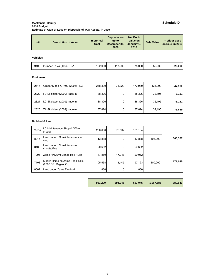#### **Mackenzie County Schedule D 2010 Budget Estimate of Gain or Loss on Disposals of TCA Assets, in 2010**

| <b>Historical</b><br><b>Description of Asset</b><br>Unit<br>Cost | <b>Depreciation</b><br>up to<br>December 31,<br>2009 | <b>Net Book</b><br>Value on<br>January 1.<br>2010 | <b>Sale Value</b> | <b>Profit or Loss</b><br>on Sale, in 2010 |
|------------------------------------------------------------------|------------------------------------------------------|---------------------------------------------------|-------------------|-------------------------------------------|
|------------------------------------------------------------------|------------------------------------------------------|---------------------------------------------------|-------------------|-------------------------------------------|

#### **Vehicles**

| 9109<br>Pumper Truck (1994) - ZA | 192.000 | .000 <sub>1</sub> | 75.000 | 50.000 | $-25,000$ |
|----------------------------------|---------|-------------------|--------|--------|-----------|
|----------------------------------|---------|-------------------|--------|--------|-----------|

## **Equipment**

| 2117 | Grader Model G740B (2005) - LC | 248.300 | 75.320 | 172.980 | 125,000 | $-47,980$ |
|------|--------------------------------|---------|--------|---------|---------|-----------|
| 2322 | FV Skidsteer (2009) trade-in   | 38,326  | 0      | 38,326  | 32,195  | $-6,131$  |
| 2321 | LC Skidsteer (2009) trade-in   | 38,326  | 0      | 38,326  | 32,195  | $-6,131$  |
| 2320 | ZA Skidsteer (2009) trade-in   | 37,824  | 0      | 37,824  | 32.195  | $-5,629$  |

#### **Buildind & Land**

| 7058a | LC Maintenance Shop & Office<br>(1992)                    | 236.666 | 75.532       | 161,134 |         |         |
|-------|-----------------------------------------------------------|---------|--------------|---------|---------|---------|
| 8015  | Land under LC maintenance shop<br>vard                    | 13.888  | 0            | 13.888  | 496,000 | 300.327 |
| 8180  | Land under LC maintenance<br>shop&office                  | 20.652  |              | 20,652  |         |         |
| 7096  | Zama Fire/Ambulance Hall (1985)                           | 47.860  | 17.948       | 29.912  |         |         |
| 7103  | Mobile Home on Zama Fire Hall lot<br>(2006 SRI Regent CJ) | 105.568 | 8.445        | 97.123  | 300.000 | 171.085 |
| 8007  | Land under Zama Fire Hall                                 | 1.880   | $\mathbf{0}$ | 1.880   |         |         |

| 981,290 | 294,245 | 687,045 | 1,067,585 | 380,540 |
|---------|---------|---------|-----------|---------|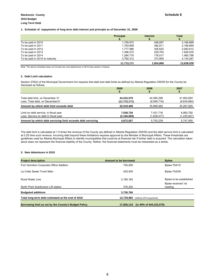#### **1. Schedule of repayments of long term debt interest and principle as of December 31, 2009**

|                                | <b>Principal</b> | <b>Interest</b> | <b>Total</b> |
|--------------------------------|------------------|-----------------|--------------|
| To be paid in 2010             | 1.709.972        | 456.697         | 2.166.669    |
| To be paid in 2011             | 1,783,858        | 382.811         | 2.166.669    |
| To be paid in 2012             | 1.777.986        | 305.625         | 2.083.612    |
| To be paid in 2013             | 1.396.272        | 229.763         | 1.626.035    |
| To be paid in 2014             | 1,284,770        | 176.017         | 1,460,788    |
| To be paid in 2015 to maturity | 3.760.312        | 373.955         | 4,134,267    |
|                                | 11.713.171       | 1.924.868       | 13.638.039   |

Note: The above schedule does not include any new debentures in 2010 (see section 3 below).

#### **2. Debt Limit calculation**

Section 276(2) of the Municipal Government Act requires that debt and debt limits as defined by Alberta Regulation 255/00 for the County be disclosed as follows:

|                                                             | 2009           | 2008        | 2007        |
|-------------------------------------------------------------|----------------|-------------|-------------|
|                                                             |                |             |             |
| Total debt limit, on December 31                            | 44,232,579     | 44.590.298  | 41,902,693  |
| Less: Total debt, on December31                             | (11, 713, 171) | (8,590,716) | (6,634,864) |
| Amount by which debt limit exceeds debt                     | 32,519,408     | 35,999,582  | 35,267,829  |
| Limit on debt service, in fiscal year                       | 7,038,726      | 7.431.716   | 6,983,782   |
| Less: Service on debt in fiscal year                        | (2, 166, 669)  | (1,638,477) | (1,235,827) |
| Amount by which debt servicing limit exceeds debt servicing | 4,872,057      | 5,793,239   | 5,747,955   |

The debt limit is calculated at 1.5 times the revenue of the County (as defined in Alberta Regulation 255/00) and the debt service limit is calculated at 0.25 time such revenue. Incurring debt beyond these limitations requires approval by the Minister of Municipal Affairs. These thresholds are guidelines used by Alberta Municipal Affairs to identify municipalities that could be at financial risk if further debt is acquired. The calculation taken alone does not represent the financial stability of the County. Rather, the financial statements must be interpreted as a whole.

#### **3. New debentures in 2010**

| <b>Project description</b>                           | Amount to be borrowed                  | <b>Bylaw</b>                  |
|------------------------------------------------------|----------------------------------------|-------------------------------|
| Fort Vermilion Corporate Office Addition             | 750.000                                | Bylaw 754/10                  |
| La Crete Sewer Trunk Main                            | 420.400                                | <b>Bylaw 742/09</b>           |
| <b>Rural Water Line</b>                              | 2.180.164                              | Bylaw to be established       |
| North Point Subdivision Lift station                 | 376.202                                | Bylaw received 1st<br>reading |
| <b>Budgeted additions</b>                            | 3,726,766                              |                               |
| Total long-term debt estimated at the end of 2010    | 13,729,965 (reflects 2010 payments)    |                               |
| Borrowing limit as set by the County's Budget Policy | (is 40% of \$44,232,579)<br>17,836,119 |                               |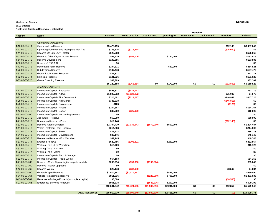#### **Mackenzie County Schedule F 2010 Budget Restricted Surplus (Reserves) - estimated**

|                |                                                 |                |                |               |                     |                    | <b>Transfers</b>    |                  |                |
|----------------|-------------------------------------------------|----------------|----------------|---------------|---------------------|--------------------|---------------------|------------------|----------------|
| <b>Account</b> | <b>Name</b>                                     | <b>Balance</b> | To be used for | Used for 2010 | <b>Operating to</b> | <b>Reserves to</b> | <b>Capital Fund</b> | <b>Transfers</b> | <b>Balance</b> |
|                |                                                 |                |                |               |                     |                    |                     |                  |                |
|                | <b>Operating Fund Reserve</b>                   |                |                |               |                     |                    |                     |                  |                |
| 4-12-00-00-711 | <b>Operating Fund Reserve</b>                   | \$3,475,495    |                |               |                     |                    |                     | \$12,148         | \$3,487,643    |
| 4-12-00-00-710 | Operating Fund Reserve-incomplete Non-Tca       | \$236,516      | (\$211,514)    |               |                     |                    |                     | (\$25,000)       | \$2            |
| 4-41-00-00-712 | Reserve-Off Site Levy - Water                   | \$625,068      |                |               |                     |                    |                     |                  | \$625,068      |
| 4-51-00-00-712 | Grants to Other Organizations Reserve           | \$68,919       | (\$55,000)     |               | \$120,000           |                    |                     |                  | \$133,919      |
| 4-61-00-00-712 | Reserve-Development                             | \$183,585      |                |               |                     |                    |                     |                  | \$183,585      |
| 4-62-00-00-712 | Reserve-P.T.O.A.G.                              | \$0            |                |               |                     |                    |                     |                  | \$0            |
| 4-72-00-00-712 | Recreation-Parks Reserve                        | \$204,821      |                |               | \$50,000            |                    |                     |                  | \$254,821      |
| 4-72-00-00-713 | <b>Subdivisions Reserve</b>                     | \$197,473      |                |               |                     |                    |                     |                  | \$197,473      |
| 4-32-00-00-714 | <b>Gravel Reclamation Reserves</b>              | \$22,377       |                |               |                     |                    |                     |                  | \$22,377       |
| 4-72-00-00-714 | <b>Municipal Reserve</b>                        | \$131,626      |                |               |                     |                    |                     |                  | \$131,626      |
| 4-32-00-00-720 | <b>Gravel Crushing Reserve</b>                  | \$83,309       |                |               |                     |                    |                     |                  | \$83,309       |
|                |                                                 |                |                | \$0           |                     | \$0                | \$0                 |                  |                |
|                |                                                 | \$5,229,188    | (\$266,514)    |               | \$170,000           |                    |                     | (\$12,852)       | \$5,119,822    |
|                | <b>Capital Fund Reserve</b>                     |                |                |               |                     |                    |                     |                  |                |
| 4-72-00-00-711 | Incomplete Capital - Recreation                 | \$493,331      | $($ \$432,112) |               |                     |                    |                     |                  | \$61,219       |
| 4-12-00-00-712 | Incomplete Capital - Admin                      | \$1,802,092    | (\$1,822,222)  |               |                     |                    |                     | \$25,000         | \$4,870        |
| 4-23-00-00-712 | Incomplete Capital - Fire Department            | \$314,401      | $($ \$314,017) |               |                     |                    |                     | \$346,941        | \$347,324      |
| 4-25-00-00-712 | Incomplete Capital - Ambulance                  | \$346,818      |                |               |                     |                    |                     | (\$346, 818)     | \$0            |
| 4-26-00-00-712 | Incomplete Capital - Enforcement                | \$123          |                |               |                     |                    |                     | (\$123)          | \$0            |
| 4-33-00-00-712 | Incomplete Capital - Airport                    | \$164,367      |                |               |                     |                    |                     |                  | \$164,367      |
| 4-43-00-00-712 | Incomplete Capital - Sewer                      | \$35,000       | (\$25,000)     |               |                     |                    |                     |                  | \$10,000       |
| 4-31-00-00-760 | Incomplete Capital - Vehicle Replacment         | \$0            |                |               |                     |                    |                     |                  | \$0            |
| 4-63-00-00-712 | Agriculture - Reserve                           | \$50,000       |                |               |                     |                    |                     |                  | \$50,000       |
| 4-71-00-00-712 | Recreation Reserve - Zama                       | \$12,148       |                |               |                     |                    |                     | (\$12,148)       | \$0            |
| 4-32-00-00-713 | Reserve-Roads(General)                          | \$2,704,430    | (\$1,039,943)  | (\$870,000)   | \$500,000           |                    |                     |                  | \$1,294,487    |
| 4-41-00-00-713 | Water Treatment Plant Reserve                   | \$214,803      |                |               |                     |                    |                     |                  | \$214,803      |
| 4-42-00-00-713 | Incomplete Capital - Sewer                      | \$36,278       |                |               |                     |                    |                     |                  | \$36,278       |
| 4-61-00-00-713 | Incomplete Capital - Development                | \$45,146       |                |               |                     |                    |                     |                  | \$45,146       |
| 4-71-00-00-713 | Recreation Reserve - Fort Vermilion             | \$49,745       |                |               |                     |                    |                     |                  | \$49,745       |
| 4-37-00-00-714 | Drainage Reserve                                | \$629,756      | (\$396,891)    |               | \$250,000           |                    |                     |                  | \$482,864      |
| 4-32-00-00-715 | Walking Trails - Fort Vermillion                | \$13,729       |                |               |                     |                    |                     |                  | \$13,729       |
| 4-32-00-00-716 | Walking Trails - LaCrete                        | \$0            |                |               |                     |                    |                     |                  | \$0            |
| 4-32-00-00-717 | Walking Trails - Zama                           | \$0            |                |               |                     |                    |                     |                  | \$0            |
| 4-32-00-00-718 | Incomplete Capital - Shop & Storage             | \$0            |                |               |                     |                    |                     |                  | \$0            |
| 4-32-00-00-719 | Incomplete Capital - Public Works               | \$54,163       |                |               |                     |                    |                     |                  | \$54,163       |
| 4-41-00-00-760 | Reserve - Water Upgrading(incomplete capital)   | \$299,214      | (\$50,000)     | (\$193,574)   |                     |                    |                     |                  | \$55,640       |
| 4-42-00-00-760 | Reserve - Sewer Upgrading                       | \$0            |                |               |                     |                    |                     |                  | \$0            |
| 4-43-00-00-760 | Reserve-Waste                                   | \$29,173       | (\$32,989)     |               |                     |                    |                     | \$8,500          | \$4,684        |
| 4-97-00-00-760 | <b>General Capital Reserve</b>                  | \$1,514,851    | (\$1,310,961)  |               | \$496,000           |                    |                     |                  | \$699,890      |
| 4-31-00-00-761 | Vehicle Replacement Reserve                     | \$911,636      |                | (\$225,000)   | \$795,000           |                    |                     |                  | \$1,481,636    |
| 4-43-00-00-761 | Reserves - Garbage Projects(incomplete capital) | \$8,500        |                |               |                     |                    |                     | (\$8,500)        | \$0            |
| 4-23-00-00-765 |                                                 | \$951,338      |                | (\$642, 236)  | \$200,000           |                    |                     |                  | \$509,102      |
|                | <b>Emergency Services Reserves</b>              | \$10,681,042   | (\$5,424,135)  |               | \$2,241,000         | \$0                | \$0                 |                  | \$5,579,948    |
|                |                                                 |                |                | (\$1,930,810) |                     |                    |                     | \$12,852         |                |
|                | <b>TOTAL RESERVES</b>                           | \$15,910,230   | ( \$5,690,649) | (\$1,930,810) | \$2,411,000         | \$0                | \$0                 | (50)             | \$10,699,771   |
|                |                                                 |                |                |               |                     |                    |                     |                  |                |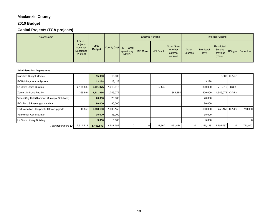## **Mackenzie County**

## **2010 Budget**

## **Capital Projects (TCA projects)**

| <b>Project Name</b> |                                                       |                       |                        |                      |           | <b>External Funding</b> |                                                |                  |                   | Internal Funding                             |                   |
|---------------------|-------------------------------------------------------|-----------------------|------------------------|----------------------|-----------|-------------------------|------------------------------------------------|------------------|-------------------|----------------------------------------------|-------------------|
|                     | For CF<br>projects<br>costs up<br>December<br>31 2009 | 2010<br><b>Budget</b> | County Cost FGTF Grant | (previously<br>NDCC) | SIP Grant | <b>MSI Grant</b>        | Other Grant<br>or other<br>external<br>sources | Other<br>Sources | Municipal<br>levy | Restricted<br>Surplus<br>(previous<br>years) | RS-type Debenture |

#### **Administration Department**

| Questica Budget Module                          |           | 15,000    | 15,000    |  |        |         |   |           |                 | 15,000 IC-Adm |         |
|-------------------------------------------------|-----------|-----------|-----------|--|--------|---------|---|-----------|-----------------|---------------|---------|
| FV Buildings Alarm System                       |           | 13,128    | 13,128    |  |        |         |   | 13,128    |                 |               |         |
| La Crete Office Building                        | 2,134,880 | 1,051,375 | 1,013,815 |  | 37,560 |         |   | 300,000   | 713,815         | <b>GCR</b>    |         |
| Zama Multi-Use Facility                         | 359,991   | 2,611,956 | ,749,072  |  |        | 862,884 |   | 200,000   | .549,072 IC-Adm |               |         |
| Virtual City Hall (Diamond Municipal Solutions) |           | 20,000    | 20,000    |  |        |         |   | 20,000    |                 |               |         |
| FV - Ford 9 Passenger Handivan                  |           | 80,000    | 80,000    |  |        |         |   | 80,000    |                 |               |         |
| Fort Vermilion - Corporate Office Upgrade       | 16,850    | 1,608,150 | 1,608,150 |  |        |         |   | 600,000   | 258,150 IC-Adm  |               | 750,000 |
| Vehicle for Administrator                       |           | 35,000    | 35,000    |  |        |         |   | 35,000    |                 |               |         |
| La Crete Library Building                       |           | 5,000     | 5,000     |  |        |         |   | 5,000     |                 |               |         |
| Total department 12                             | 2,511,722 | 5,439,609 | 4,539,165 |  | 37,560 | 862,884 | 0 | 1,253,128 | 2,536,037       |               | 750,000 |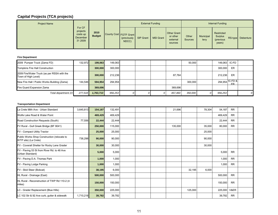| <b>Project Name</b> |                                                       |                       |                                                |           | <b>External Funding</b> |                                                       |                  |                   | Internal Funding                                    |                   |
|---------------------|-------------------------------------------------------|-----------------------|------------------------------------------------|-----------|-------------------------|-------------------------------------------------------|------------------|-------------------|-----------------------------------------------------|-------------------|
|                     | For CF<br>projects<br>costs up<br>December<br>31 2009 | 2010<br><b>Budget</b> | County Cost FGTF Grant<br>(previously<br>NDCC) | SIP Grant | <b>MSI Grant</b>        | <b>Other Grant</b><br>or other<br>external<br>sources | Other<br>Sources | Municipal<br>levy | Restricted<br><b>Surplus</b><br>(previous<br>years) | RS-type Debenture |

#### **Fire Department**

| 2009 Pumper Truck (Zama FD)                                        | 132,972 | 199,063   | 149.063 |  |         | 50.000  | 149,063 IC-FD   |     |                |
|--------------------------------------------------------------------|---------|-----------|---------|--|---------|---------|-----------------|-----|----------------|
| Tompkins Fire Hall Construction                                    |         | 300,000   | 300,000 |  |         |         | 300.000         | ER  |                |
| 2009 Fire/Water Truck (as per RSSA with the<br>Town of High Level) |         | 300,000   | 212,236 |  | 87,764  |         | 212.236         | ER  |                |
| New Fire Hall / Public Works Building (Zama)                       | 144.546 | 594,954   | 294,954 |  |         | 300.000 | 294,954 IC-FD & | FR. |                |
| Fire Guard Expansion Zama                                          |         | 369,696   |         |  | 369.696 |         |                 |     |                |
| Total department 23                                                | 277,518 | 1,763,713 | 956,253 |  | 457.460 | 350,000 | 956,253         |     | $\overline{O}$ |

#### **Transportation Department**

| La Crete 98th Ave - Urban Standard                                  | 3,645,813 | 154,187 | 132,491 |  | 21,696  |         | 78,304 | 54,187  | <b>RR</b> |  |
|---------------------------------------------------------------------|-----------|---------|---------|--|---------|---------|--------|---------|-----------|--|
| Wolfe Lake Road & Water Point                                       |           | 469,429 | 469,429 |  |         |         |        | 469,429 | <b>RR</b> |  |
| Road Construction Requests (South)                                  | 77,556    | 22,444  | 22,444  |  |         |         |        | 22,444  | <b>RR</b> |  |
| FV Rural - Gull Greek Bridge (BF 9041)                              |           | 250,000 | 115,000 |  | 135,000 |         | 35,000 | 80,000  | <b>RR</b> |  |
| FV - Compact Utility Tractor                                        |           | 25,000  | 25,000  |  |         |         | 25,000 |         |           |  |
| Public Works Shop Construction (relocate to<br>WTP site) (La Crete) | 736,298   | 90,000  | 90,000  |  |         |         | 90,000 |         |           |  |
| FV - Coverall Shelter for Rocky Lane Grader                         |           | 30,000  | 30,000  |  |         |         | 30,000 |         |           |  |
| FV - Paving 53 St from River Rd. to 48 Ave<br>(Urban Standard)      |           | 5,000   | 5,000   |  |         |         |        | 5,000   | <b>RR</b> |  |
| FV - Paving D.A. Thomas Park                                        |           | 1,000   | 1,000   |  |         |         |        | 1,000   | <b>RR</b> |  |
| FV - Paving Lodge Parking                                           |           | 1,000   | 1,000   |  |         |         |        | 1,000   | <b>RR</b> |  |
| FV - Skid Steer (Bobcat)                                            |           | 38,195  | 6,000   |  |         | 32,195  | 6,000  |         |           |  |
| HL Rural - Drainage (East)                                          |           | 500,000 | 500,000 |  |         |         |        | 500,000 | <b>RR</b> |  |
| HL Rural - Reconstruction of TWP Rd 110-2 (4<br>miles)              |           | 150,000 | 150,000 |  |         |         |        | 150,000 | <b>RR</b> |  |
| LC - Grader Replacement (Blue Hills)                                |           | 350,000 | 225,000 |  |         | 125,000 |        | 225,000 | V&ER      |  |
| LC 102 Str & 92 Ave curb, gutter & sidewalk                         | 1,710,218 | 39,782  | 39,782  |  |         |         |        | 39,782  | <b>RR</b> |  |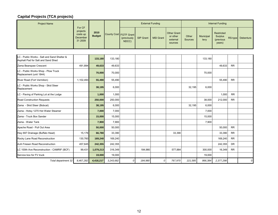| <b>Project Name</b>                                                               |                                                       |                       |           |                                                | <b>External Funding</b> |                  |                                                       |                         |                   | <b>Internal Funding</b>                             |           |                  |
|-----------------------------------------------------------------------------------|-------------------------------------------------------|-----------------------|-----------|------------------------------------------------|-------------------------|------------------|-------------------------------------------------------|-------------------------|-------------------|-----------------------------------------------------|-----------|------------------|
|                                                                                   | For CF<br>projects<br>costs up<br>December<br>31 2009 | 2010<br><b>Budget</b> |           | County Cost FGTF Grant<br>(previously<br>NDCC) | <b>SIP Grant</b>        | <b>MSI Grant</b> | <b>Other Grant</b><br>or other<br>external<br>sources | Other<br><b>Sources</b> | Municipal<br>levy | <b>Restricted</b><br>Surplus<br>(previous<br>years) | RS-type   | <b>Debenture</b> |
|                                                                                   |                                                       |                       |           |                                                |                         |                  |                                                       |                         |                   |                                                     |           |                  |
| LC - Public Works - Salt and Sand Shelter &<br>Asphalt Pad for Salt and Sand Shed |                                                       | 133,180               | 133,180   |                                                |                         |                  |                                                       |                         | 133,180           |                                                     |           |                  |
| Zama Bearspaw Crescent                                                            | 491,894                                               | 49,633                | 49,633    |                                                |                         |                  |                                                       |                         |                   | 49,633                                              | <b>RR</b> |                  |
| C - Public Works Shop - Plow Truck<br>Replacement (unit 1844)                     |                                                       | 70,000                | 70,000    |                                                |                         |                  |                                                       |                         | 70,000            |                                                     |           |                  |
| River Road (Fort Vermilion)                                                       | 1,102,493                                             | 55,490                | 55,490    |                                                |                         |                  |                                                       |                         |                   | 55,490                                              | <b>RR</b> |                  |
| C - Public Works Shop - Skid Steer<br>Replacement                                 |                                                       | 38,195                | 6,000     |                                                |                         |                  |                                                       | 32,195                  | 6,000             |                                                     |           |                  |
| LC - Paving of Parking Lot at the Lodge                                           |                                                       | 1,000                 | 1,000     |                                                |                         |                  |                                                       |                         |                   | 1,000                                               | <b>RR</b> |                  |
| <b>Road Construction Requests</b>                                                 |                                                       | 250,000               | 250,000   |                                                |                         |                  |                                                       |                         | 38,000            | 212,000                                             | <b>RR</b> |                  |
| Zama - Skid Steer (Bobcat)                                                        |                                                       | 38,195                | 6,000     |                                                |                         |                  |                                                       | 32,195                  | 6,000             |                                                     |           |                  |
| Zama - Hotsy 1270 Hot Water Steamer                                               |                                                       | 7,000                 | 7,000     |                                                |                         |                  |                                                       |                         | 7,000             |                                                     |           |                  |
| Zama - Truck Box Sander                                                           |                                                       | 15,000                | 15,000    |                                                |                         |                  |                                                       |                         | 15,000            |                                                     |           |                  |
| Zama - Water Tank                                                                 |                                                       | 7,900                 | 7,900     |                                                |                         |                  |                                                       |                         | 7,900             |                                                     |           |                  |
| Apache Road - Pull Out Area                                                       |                                                       | 50,000                | 50,000    |                                                |                         |                  |                                                       |                         |                   | 50,000                                              | <b>RR</b> |                  |
| Hwy 697 Drainage (Buffalo Head)                                                   | 15,176                                                | 66,780                | 33,390    |                                                |                         |                  | 33,390                                                |                         |                   | 33,390                                              | <b>RR</b> |                  |
| Rocky Lane Road Reconstruction                                                    | 130,760                                               | 169,240               | 169,240   |                                                |                         |                  |                                                       |                         |                   | 169,240                                             | <b>RR</b> |                  |
| AJA Friesen Road Reconstruction                                                   | 457,645                                               | 242,355               | 242,355   |                                                |                         |                  |                                                       |                         |                   | 242,355                                             | DR.       |                  |
| LC 100th Ave Reconstruction - CAMRIF (BCF)                                        | 99,431                                                | 1,079,213             | 316,349   |                                                | 184,980                 |                  | 577,884                                               |                         | 300,000           | 16,349                                              | <b>RR</b> |                  |
| Service box for FV truck                                                          |                                                       | 19,000                | 19,000    |                                                |                         |                  |                                                       |                         | 19,000            |                                                     |           |                  |
| Total department 32                                                               | 8,467,282                                             | 4,418,217             | 3,243,682 | $\theta$                                       | 184,980                 | $\Omega$         | 767,970                                               | 221,585                 | 866,384           | 2,377,298                                           |           | 0                |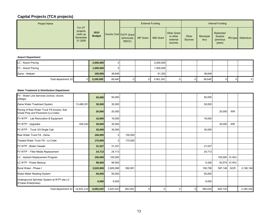| <b>Project Name</b> |                                                       |                       |                        |                      |           | <b>External Funding</b> |                                                |                  |                   | Internal Funding                                     |                   |
|---------------------|-------------------------------------------------------|-----------------------|------------------------|----------------------|-----------|-------------------------|------------------------------------------------|------------------|-------------------|------------------------------------------------------|-------------------|
|                     | For CF<br>projects<br>costs up<br>December<br>31 2009 | 2010<br><b>Budget</b> | County Cost FGTF Grant | (previously<br>NDCC) | SIP Grant | <b>MSI Grant</b>        | Other Grant<br>or other<br>external<br>sources | Other<br>Sources | Municipal<br>levy | Restricted<br><b>Surplus</b><br>(previous)<br>years) | RS-type Debenture |

#### **Airport Department**

| LC - Airport Paving | 2,000,000 |        |  | 2,000,000 |   |        |   |   |
|---------------------|-----------|--------|--|-----------|---|--------|---|---|
| FV - Airport Paving | 000,000,  |        |  | 1,000,000 |   |        |   |   |
| Zama - Helipad      | 100,000   | 38,648 |  | 61,352    |   | 38,648 |   |   |
| Total department 33 | 3,100,000 | 38,648 |  | 3,061,352 | 0 | 38,648 | 0 | 0 |

#### **Water Treatment & Distribution Department**

| FV - Water Line Services (school, church,<br>college)                            |            | 50,000    | 50,000         |         |  |          |   | 50,000  |         |           |             |
|----------------------------------------------------------------------------------|------------|-----------|----------------|---------|--|----------|---|---------|---------|-----------|-------------|
| Zama Water Treatment System                                                      | 13,489,351 | 30,000    | 30,000         |         |  |          |   | 30,000  |         |           |             |
| Paving of Raw Water Truck Fill Access: Sub<br>Grade Prep and Pavement (La Crete) |            | 20,000    | 20,000         |         |  |          |   |         | 20,000  | <b>WR</b> |             |
| FV WTP - Lab Renovation & Equipment                                              |            | 16,000    | 16,000         |         |  |          |   | 16,000  |         |           |             |
| FV WTP - Upgrades                                                                | 455,242    | 30,000    | 30,000         |         |  |          |   |         | 30,000  | <b>WR</b> |             |
| FV WTP - Truck 3/4 Single Cab                                                    |            | 35,000    | 35,000         |         |  |          |   | 35,000  |         |           |             |
| Raw Water Truck Fill - Zama                                                      |            | 100,000   | $\overline{0}$ | 100,000 |  |          |   |         |         |           |             |
| Treated Water Truck Fill - La Crete                                              |            | 170,000   | $\Omega$       | 170,000 |  |          |   |         |         |           |             |
| FV WTP - Boiler/ Header                                                          |            | 31,537    | 31,537         |         |  |          |   | 31,537  |         |           |             |
| FV WTP - Filter Media Replacement                                                |            | 24,713    | 24,713         |         |  |          |   | 24,713  |         |           |             |
| LC - Hydrant Replacement Program                                                 |            | 100,000   | 100,000        |         |  |          |   |         | 100,000 | IC-WU     |             |
| LC WTP - Power Backup                                                            |            | 99,000    | 99,000         |         |  |          |   | 5,426   | 93,574  | IC-WU     |             |
| Rural Water - Phase I                                                            |            | 3,520,969 | 2,928,068      | 592,901 |  |          |   | 150,758 | 597,146 | GCR       | 2,180,164   |
| Water Meter Reading System                                                       |            | 50,000    | 50,000         |         |  |          |   | 50,000  |         |           |             |
| Underground Sprinkler System at WTP site LC<br>(Froese Enterprises)              |            | 6,000     | 6,000          |         |  |          |   | 6,000   |         |           |             |
| Total department 41                                                              | 14,816,119 | 4,283,219 | 3,420,318      | 862,901 |  | $\Omega$ | 0 | 399,434 | 840,720 |           | 2, 180, 164 |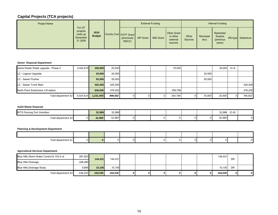| <b>Project Name</b> |                                                              |                       |                        |                      |           | <b>External Funding</b> |                                                |                         |                   | Internal Funding                                    |                   |
|---------------------|--------------------------------------------------------------|-----------------------|------------------------|----------------------|-----------|-------------------------|------------------------------------------------|-------------------------|-------------------|-----------------------------------------------------|-------------------|
|                     | For CF<br>projects<br>costs up<br><b>December</b><br>31 2009 | 2010<br><b>Budget</b> | County Cost FGTF Grant | (previously<br>NDCC) | SIP Grant | <b>MSI Grant</b>        | Other Grant<br>or other<br>external<br>sources | Other<br><b>Sources</b> | Municipal<br>levy | Restricted<br><b>Surplus</b><br>(previous<br>years) | RS-type Debenture |

#### **Sewer Disposal Department** *N*

| Zama Waste Water upgrade - Phase II  | 4.024.619 | 100.000   | 25.000  |  |   | 75.000  |   |        | 25,000 | $IC-S$ |         |
|--------------------------------------|-----------|-----------|---------|--|---|---------|---|--------|--------|--------|---------|
| LC - Lagoon Upgrade                  |           | 20,000    | 20,000  |  |   |         |   | 20,000 |        |        |         |
| <b>LC - Sewer Flusher</b>            |           | 55,000    | 55,000  |  |   |         |   | 55.000 |        |        |         |
| LC - Sewer Trunk Main                |           | 420,400   | 420,400 |  |   |         |   |        |        |        | 420,400 |
| North Point Subdivision Lift station |           | 636,000   | 376,202 |  |   | 259,798 |   |        |        |        | 376,202 |
| Total department 42                  | 4,024,619 | 1,231,400 | 896,602 |  | 0 | 334,798 | 0 | 75,000 | 25,000 |        | 796,602 |

#### **Solid Waste Disposal**

| <b>WTS Fencing Fort Vermilion</b> |    | 32,989 | 32,989 |  |  |  | 32.989           | IC-W |  |
|-----------------------------------|----|--------|--------|--|--|--|------------------|------|--|
| Total department 43               | ∩∎ | 32,989 | 32,989 |  |  |  | 22.000<br>32.989 |      |  |

#### **Planning & Development Department**

| Total department 61 |  |  |  |  |  |  |
|---------------------|--|--|--|--|--|--|

#### **Agricultural Services Department**

| Blue Hills Storm Water Control & 103-2 rd | 281,823 | 144.431 | 144,431 |    |   |    |   | 144,431 | <b>DR</b> |                  |
|-------------------------------------------|---------|---------|---------|----|---|----|---|---------|-----------|------------------|
| <b>Blue Hills Drainage</b>                | 246.485 |         |         |    |   |    |   |         |           |                  |
| <b>Blue Hills Drainage Study</b>          | 9.895   | 10,105  | 10.105  |    |   |    |   | 10.1051 | <b>DR</b> |                  |
| Total department 63                       | 538,203 | 154,536 | 154,536 | 01 | υ | 01 | 0 | 154,536 | οI        | $\boldsymbol{o}$ |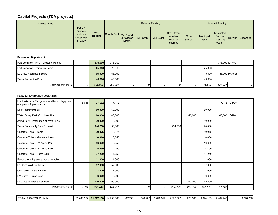| <b>Project Name</b> |                                                              |                       |                        |                      |           | <b>External Funding</b> |                                                |                         |                   | Internal Funding                                    |                   |
|---------------------|--------------------------------------------------------------|-----------------------|------------------------|----------------------|-----------|-------------------------|------------------------------------------------|-------------------------|-------------------|-----------------------------------------------------|-------------------|
|                     | For CF<br>projects<br>costs up<br><b>December</b><br>31 2009 | 2010<br><b>Budget</b> | County Cost FGTF Grant | (previously<br>NDCC) | SIP Grant | <b>MSI Grant</b>        | Other Grant<br>or other<br>external<br>sources | Other<br><b>Sources</b> | Municipal<br>levy | Restricted<br><b>Surplus</b><br>(previous<br>years) | RS-type Debenture |

#### **Recreation Department**

| Fort Vermilion Arena - Dressing Rooms | 375,000 | 375,000 |   |  |        | 375,000 IC-Rec |                |          |
|---------------------------------------|---------|---------|---|--|--------|----------------|----------------|----------|
| Fort Vermilion Recreation Board       | 25,000  | 25,000  |   |  | 25.000 |                |                |          |
| La Crete Recreation Board             | 65,000  | 65,000  |   |  | 10.000 |                | 55,000 PR (op) |          |
| Zama Recreation Board                 | 40,000  | 40,000  |   |  | 40.000 |                |                |          |
| Total department 71                   | 505,000 | 505,000 | 0 |  | 75,000 | 430,000        |                | $\Omega$ |

#### **Parks & Playgrounds Department**

| Machesis Lake Playground Additions: playground<br>equipment & preparation | 5,888 | 17,112  | 17,112  |                |   |   |         |         |         |        | 17,112 IC-Rec |              |
|---------------------------------------------------------------------------|-------|---------|---------|----------------|---|---|---------|---------|---------|--------|---------------|--------------|
| Dock Improvements                                                         |       | 60,000  | 60,000  |                |   |   |         |         | 60,000  |        |               |              |
| Water Spray Park (Fort Vermilion)                                         |       | 80,000  | 40,000  |                |   |   |         | 40,000  |         |        | 40,000 IC-Rec |              |
| Zama Park - Installation of Water Line                                    |       | 10,000  | 10,000  |                |   |   |         |         | 10,000  |        |               |              |
| Zama Community Park Expansion                                             |       | 344,760 | 90,000  |                |   |   | 254,760 |         | 90,000  |        |               |              |
| Concrete Toilet - Zama                                                    |       | 19,975  | 19,975  |                |   |   |         |         | 19,975  |        |               |              |
| Concrete Toilet - Machesis Lake                                           |       | 16,650  | 16,650  |                |   |   |         |         | 16,650  |        |               |              |
| Concrete Toilet - FV Arena Park                                           |       | 16,650  | 16,650  |                |   |   |         |         | 16,650  |        |               |              |
| Concrete Toilet - LC Arena Park                                           |       | 14,450  | 14,450  |                |   |   |         |         | 14,450  |        |               |              |
| Concrete Toilet - Hutch Lake                                              |       | 17,250  | 17,250  |                |   |   |         |         | 17,250  |        |               |              |
| Fence around green space at Wadlin                                        |       | 11,000  | 11,000  |                |   |   |         |         | 11,000  |        |               |              |
| La Crete Walking Trails                                                   |       | 57,000  | 57,000  |                |   |   |         |         | 57,000  |        |               |              |
| Cell Tower - Wadlin Lake                                                  |       | 7,000   | 7,000   |                |   |   |         |         | 7,000   |        |               |              |
| RV Dump - Hutch Lake                                                      |       | 6,600   | 6,600   |                |   |   |         |         | 6,600   |        |               |              |
| La Crete - Water Spray Park                                               |       | 120,000 | 60,000  |                |   |   |         | 60,000  | 60,000  |        |               |              |
| Total department 72                                                       | 5,888 | 798,447 | 443,687 | $\overline{O}$ | 0 | 0 | 254,760 | 100,000 | 386,575 | 57,112 |               | <sup>o</sup> |

| TOTAL 2010 TCA Projects<br>$T$ $\cap T$ | 30,641,352 | 21.727.130 | 4.230.880 | 862,901 | 184.980 | 3.098.912 | 2,677,872 | <b>S71.5851</b> | 3,094,169 | 409,945 | <b>726.766</b><br>.,726,7661 |
|-----------------------------------------|------------|------------|-----------|---------|---------|-----------|-----------|-----------------|-----------|---------|------------------------------|
|                                         |            |            |           |         |         |           |           |                 |           |         |                              |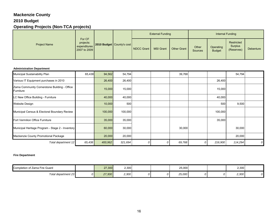## **Mackenzie County**

## **2010 Budget**

## **Operating Projects (Non-TCA projects)**

|                     |                                                     |                             |            | <b>External Funding</b> |                    |                         | Internal Funding           |                                            |           |
|---------------------|-----------------------------------------------------|-----------------------------|------------|-------------------------|--------------------|-------------------------|----------------------------|--------------------------------------------|-----------|
| <b>Project Name</b> | For CF<br>projects:<br>expenditures<br>2007 to 2009 | 2010 Budget   County's cost | NDCC Grant | <b>MSI Grant</b>        | <b>Other Grant</b> | Other<br><b>Sources</b> | Operating<br><b>Budget</b> | Restricted<br><b>Surplus</b><br>(Reserves) | Debenture |

#### **Administration Department**

| Municipal Sustainability Plan                             | 65,438 | 94,562  | 54,794  |   | 39,768 |         | 54,794  |   |
|-----------------------------------------------------------|--------|---------|---------|---|--------|---------|---------|---|
| Various IT Equipment purchases in 2010                    |        | 26,400  | 26,400  |   |        | 26,400  |         |   |
| Zama Community Cornerstone Building - Office<br>Furniture |        | 15,000  | 15,000  |   |        | 15,000  |         |   |
| LC New Office Building - Furniture                        |        | 40,000  | 40,000  |   |        | 40,000  |         |   |
| <b>Website Design</b>                                     |        | 10,000  | 500     |   |        | 500     | 9,500   |   |
| Municipal Census & Electoral Boundary Review              |        | 100,000 | 100,000 |   |        | 100,000 |         |   |
| Fort Vermilion Office Furniture                           |        | 35,000  | 35,000  |   |        | 35,000  |         |   |
| Municipal Heritage Program - Stage 2 - Inventory          |        | 60,000  | 30,000  |   | 30,000 |         | 30,000  |   |
| Mackenzie County Promotional Package                      |        | 20,000  | 20,000  |   |        |         | 20,000  |   |
| Total department 12                                       | 65,438 | 400,962 | 321,694 | C | 69,768 | 216,900 | 114,294 | 0 |

#### **Fire Department**

| Completion of<br>f Zama Fire Guard | 27,300 | 2,300 |    | 25,000 |  | 2,300 |    |
|------------------------------------|--------|-------|----|--------|--|-------|----|
| Total department 23                | 27,300 | 2,300 | ומ | 25,000 |  | 2,300 | 01 |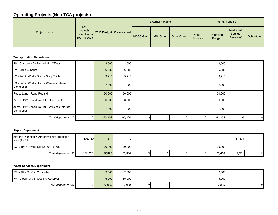|                     |                                                     |                           |            | <b>External Funding</b> |             |                  |                            | Internal Funding                    |                  |
|---------------------|-----------------------------------------------------|---------------------------|------------|-------------------------|-------------|------------------|----------------------------|-------------------------------------|------------------|
| <b>Project Name</b> | For CF<br>projects:<br>expenditures<br>2007 to 2009 | 2010 Budget County's cost | NDCC Grant | <b>MSI Grant</b>        | Other Grant | Other<br>Sources | Operating<br><b>Budget</b> | Restricted<br>Surplus<br>(Reserves) | <b>Debenture</b> |

#### **Transportation Department**

| FV - Computer for PW Admin. Officer                        |    | 3,500  | 3,500  |   |  | 3,500  |   |
|------------------------------------------------------------|----|--------|--------|---|--|--------|---|
| FV - Shop Exhaust                                          |    | 6,886  | 6,886  |   |  | 6,886  |   |
| LC - Public Works Shop - Shop Tools                        |    | 9,910  | 9,910  |   |  | 9,910  |   |
| LC - Public Works Shop - Wireless Internet<br>Connection   |    | 7,000  | 7,000  |   |  | 7,000  |   |
| Rocky Lane - Road Rebuild                                  |    | 50,000 | 50,000 |   |  | 50,000 |   |
| Zama - PW Shop/Fire Hall - Shop Tools                      |    | 6,000  | 6,000  |   |  | 6,000  |   |
| Zama - PW Shop/Fire Hall - Wireless Internet<br>Connection |    | 7,000  | 7,000  |   |  | 7,000  |   |
| Total department 32                                        | οI | 90,296 | 90,296 | 0 |  | 90,296 | 0 |

#### **Airport Department**

| Airports Planning & Airport vicinity protection<br>area (AVPA) | 102.130  | 17.871 |        |    |  |        | 17,871 |  |
|----------------------------------------------------------------|----------|--------|--------|----|--|--------|--------|--|
| LC - Apron Paving SE 12-104-16-W5                              |          | 20,000 | 20,000 |    |  | 20,000 |        |  |
| Total department 33                                            | 102, 130 | 37,871 | 20,000 | υ, |  | 20,000 | 17,871 |  |

#### **Water Services Department**

| <b>FV WTP - On Call Computer</b>     | 2,000  | 2,000  |  |  | 2,000  |  |
|--------------------------------------|--------|--------|--|--|--------|--|
| FV - Cleaning & Inspecting Reservoir | 15.000 | 15,000 |  |  | 15,000 |  |
| Total department 41                  | 17,000 | 17,000 |  |  | 17,000 |  |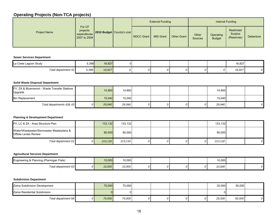|                     |                                                     |                           |            | <b>External Funding</b> |                    |                         |                            | Internal Funding                    |           |
|---------------------|-----------------------------------------------------|---------------------------|------------|-------------------------|--------------------|-------------------------|----------------------------|-------------------------------------|-----------|
| <b>Project Name</b> | For CF<br>projects:<br>expenditures<br>2007 to 2009 | 2010 Budget County's cost | NDCC Grant | <b>MSI Grant</b>        | <b>Other Grant</b> | Other<br><b>Sources</b> | Operating<br><b>Budget</b> | Restricted<br>Surplus<br>(Reserves) | Debenture |

#### **Sewer Services Department**

| La Crete Lagoon Study | 5,398 | 16,827 |  |  |  | 16,827 |  |
|-----------------------|-------|--------|--|--|--|--------|--|
| Total department 41   | 5.398 | 16,827 |  |  |  | 16,827 |  |

#### **Solid Waste Disposal Department**

| FV, ZA & Bluemenort - Waste Transfer Stations<br>Upgrade |    | 14.900 | 14,900 |   |  | 14,900 |   |
|----------------------------------------------------------|----|--------|--------|---|--|--------|---|
| <b>Bin Replacement</b>                                   |    | 15.040 | 15,040 |   |  | 15.040 |   |
| Total departments 42& 43                                 | 0Ι | 29,940 | 29,940 | 0 |  | 29,940 | 0 |

## **Planning & Development Department**

| FV, LC & ZA - Area Structure Plan                                         | 133,132 | 133,132  |  |  | 133,132 |   |
|---------------------------------------------------------------------------|---------|----------|--|--|---------|---|
| Water/Wastewater/Stormwater Masterplans &<br><b>Offsite Levies Review</b> | 80.000  | 80,000   |  |  | 80,000  |   |
| Total department 61                                                       | 213.132 | 213, 132 |  |  | 213.132 | 0 |

#### **Agricultural Services Department**

| Engineering & Planning (Ptarmigan Flats)<br>ີ | 10,000 | 10,000 |  |  | 10,000 |  |
|-----------------------------------------------|--------|--------|--|--|--------|--|
| Total department 63                           | 10,000 | 10,000 |  |  | 10,000 |  |

#### **Subdivision Department**

| Zama Subdivision Development | 75,000 | 75,000 |  |  | 25,000 | 50,000 |  |
|------------------------------|--------|--------|--|--|--------|--------|--|
| Zama Residential Subdivision |        |        |  |  |        |        |  |
| Total department 66          | 75,000 | 75,000 |  |  | 25,000 | 50,000 |  |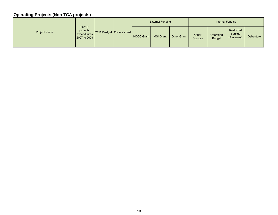|                     | For CF                                    |  | <b>External Funding</b>   |            |                  |             | Internal Funding        |                            |                                     |                  |
|---------------------|-------------------------------------------|--|---------------------------|------------|------------------|-------------|-------------------------|----------------------------|-------------------------------------|------------------|
| <b>Project Name</b> | projects:<br>expenditures<br>2007 to 2009 |  | 2010 Budget County's cost | NDCC Grant | <b>MSI Grant</b> | Other Grant | Other<br><b>Sources</b> | Operating<br><b>Budget</b> | Restricted<br>Surplus<br>(Reserves) | <b>Debenture</b> |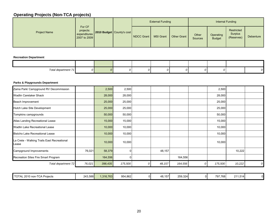|                     | For CF                                    |  | <b>External Funding</b>   |            |                  |             | Internal Funding |                            |                                     |                  |
|---------------------|-------------------------------------------|--|---------------------------|------------|------------------|-------------|------------------|----------------------------|-------------------------------------|------------------|
| <b>Project Name</b> | projects:<br>expenditures<br>2007 to 2009 |  | 2010 Budget County's cost | NDCC Grant | <b>MSI Grant</b> | Other Grant | Other<br>Sources | Operating<br><b>Budget</b> | Restricted<br>Surplus<br>(Reserves) | <b>Debenture</b> |

#### **Recreation Department**

| Total department, |  |  |  |  |  |
|-------------------|--|--|--|--|--|

#### **Parks & Playgrounds Department**

| Zama Park/ Campground RV Decommission                |         | 2,500     | 2,500   |    |         |         |    | 2,500   |         |                |
|------------------------------------------------------|---------|-----------|---------|----|---------|---------|----|---------|---------|----------------|
| <b>Wadlin Caretaker Shack</b>                        |         | 28,000    | 28,000  |    |         |         |    | 28,000  |         |                |
| Beach Improvement                                    |         | 25,000    | 25,000  |    |         |         |    | 25,000  |         |                |
| Hutch Lake Site Development                          |         | 25,000    | 25,000  |    |         |         |    | 25,000  |         |                |
| Tompkins campgrounds                                 |         | 50,000    | 50,000  |    |         |         |    | 50,000  |         |                |
| Atlas Landing Recreational Lease                     |         | 15,000    | 15,000  |    |         |         |    | 15,000  |         |                |
| <b>Wadlin Lake Recreational Lease</b>                |         | 10,000    | 10,000  |    |         |         |    | 10,000  |         |                |
| <b>Bistcho Lake Recreational Lease</b>               |         | 10,000    | 10,000  |    |         |         |    | 10,000  |         |                |
| La Crete - Walking Trails East Recreational<br>Lease |         | 10,000    | 10,000  |    |         |         |    | 10,000  |         |                |
| Campground Improvements                              | 76,021  | 58,379    |         |    | 48,157  |         |    |         | 10,222  |                |
| Recreation Sites Fire Smart Program                  |         | 164,556   |         |    |         | 164,556 |    |         |         |                |
| Total department 72                                  | 76,021  | 398,435   | 175,500 | 0  | 48, 157 | 164,556 |    | 175,500 | 10,222  | $\overline{O}$ |
|                                                      |         |           |         |    |         |         |    |         |         |                |
| TOTAL 2010 non-TCA Projects                          | 243,588 | 1,316,763 | 954,862 | 01 | 48,157  | 259,324 | 01 | 797,768 | 211,514 | $\mathbf{0}$   |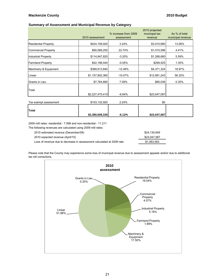## **Mackenzie County 2010 Budget**

#### **Summary of Assessment and Municipal Revenue by Category**

|                             | 2010 assessment | % increase from 2009<br>assessment | 2010 projected<br>municipal tax<br>revenue | As % of total<br>municipal revenue |
|-----------------------------|-----------------|------------------------------------|--------------------------------------------|------------------------------------|
|                             |                 |                                    |                                            |                                    |
| <b>Residential Property</b> | \$424,158,920   | 3.24%                              | \$3,010,680                                | 13.06%                             |
| <b>Commercial Property</b>  | \$90,589,250    | 22.74%                             | \$1,015,596                                | 4.41%                              |
| <b>Industrial Property</b>  | \$114,947,820   | $-3.20%$                           | \$1,288,680                                | 5.59%                              |
| <b>Farmland Property</b>    | \$42,198,540    | $-0.05%$                           | \$299,525                                  | 1.30%                              |
| Machinery & Equipment       | \$389,913,840   | $-12.48%$                          | \$4,371,324                                | 18.97%                             |
| Linear                      | \$1,157,902,360 | $-10.07%$                          | \$12,981,243                               | 56.32%                             |
| Grants in Lieu              | \$7,764,680     | 7.09%                              | \$80,038                                   | 0.35%                              |
| Total                       |                 |                                    |                                            |                                    |
|                             | \$2,227,475,410 | $-6.64%$                           | \$23,047,087                               |                                    |
| Tax exempt assessment       | \$153,132,920   | 2.24%                              | \$0                                        |                                    |
|                             |                 |                                    |                                            |                                    |
| Total                       |                 |                                    |                                            |                                    |
|                             | \$2,380,608,330 | $-6.12%$                           | \$23,047,087                               |                                    |

2009 mill rates: residential - 7.098 and non-residential - 11.211

The following revenues are calculated using 2009 mill rates:

| 2010 estimated revenue (December/09)                                  | \$24.130.649 |
|-----------------------------------------------------------------------|--------------|
| 2010 expected revenue (April/10)                                      | \$23.047.087 |
| Loss of revenue due to decrease in assessment calculated at 2009 rate | \$1.083.563  |

Please note that the County may experience some loss of municipal revenue due to assessment appeals and/or due to additional tax roll corrections.

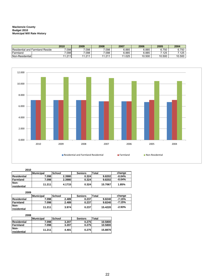#### **Mackenzie County Budget 2010 Municipal Mill Rate History**

|                                 | 2010  | 2009             | 2008   | 2007  | 2006   | 2005        | 2004   |
|---------------------------------|-------|------------------|--------|-------|--------|-------------|--------|
| Residential and Farmland Reside | 7.098 | 7.098            | .098   | 6.885 | 6.885  | 6.750       | 6.750  |
| Farmland                        | 7.098 | 7.098            | .098   | 6.885 | 6.885  | .125        | .125   |
| Non-Residential                 | . 211 | 0.44<br>. ا ∠. . | 11 011 | .025  | 10.500 | 0.500<br>10 | 10.500 |



#### **2010**

|                     | <b>Municipal</b> | <b>School</b> | <b>Seniors</b> | <b>Total</b> | change   |
|---------------------|------------------|---------------|----------------|--------------|----------|
| Residential         | 7.098            | 2.3980        | 0.324          | 9.8202       | $-0.04%$ |
| lFarmland           | 7.098            | 2.3980        | 0.324          | 9.8202       | $-0.04%$ |
| Non-<br>residential | 11.211           | 4.1715        | 0.324          | 15.7067      | 1.85%    |

#### **2009**

|                     | Municipal | School | <b>Seniors</b> | Total   | change   |
|---------------------|-----------|--------|----------------|---------|----------|
| Residential         | 7.098     | 2.489  | 0.237          | 9.8240  | $-7.15%$ |
| <b>Farmland</b>     | 7.098     | 2.489  | 0.237          | 9.8240  | $-7.15%$ |
| Non-<br>residential | 11.211    | 3.974  | 0.237          | 15.4220 | $-2.93%$ |

#### **2008**

|                     | <b>Municipal</b> | <b>School</b> | <b>Seniors</b> | Total   |
|---------------------|------------------|---------------|----------------|---------|
| Residential         | 7.098            | 3.207         | 0.275          | 10.5800 |
| <b>Farmland</b>     | 7.098            | 3.207         | 0.275          | 10.5800 |
| Non-<br>residential | 11.211           | 4.401         | 0.275          | 15.8870 |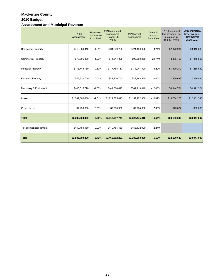## **Mackenzie County 2010 Budget Assessment and Municipal Revenue**

|                             | 2009<br>assessment | Estimated<br>% increase<br>from 2009 | 2010 estimated<br>assessment<br>(October 28,<br>2009) | 2010 actual<br>assessment | Actual %<br>increase<br>from 2009 | 2010 municipal<br>levy revenue - as<br>projected in<br>October 2009 | 2010 municipal<br>levy revenue -<br><b>APPROVED</b><br>(2009 rate) |
|-----------------------------|--------------------|--------------------------------------|-------------------------------------------------------|---------------------------|-----------------------------------|---------------------------------------------------------------------|--------------------------------------------------------------------|
| <b>Residential Property</b> | \$410,864,310      | $-1.51%$                             | \$404,649,750                                         | \$424,158,920             | 3.24%                             | \$2,872,204                                                         | \$3,010,680                                                        |
| <b>Commercial Property</b>  | \$73,806,830       | 1.00%                                | \$74,544,898                                          | \$90,589,250              | 22.74%                            | \$835,723                                                           | \$1,015,596                                                        |
| <b>Industrial Property</b>  | \$118,745,780      | $-0.83%$                             | \$117,765,767                                         | \$114,947,820             | $-3.20%$                          | \$1,320,272                                                         | \$1,288,680                                                        |
| <b>Farmland Property</b>    | \$42,220,750       | 0.00%                                | \$42,220,750                                          | \$42,198,540              | $-0.05%$                          | \$299,683                                                           | \$299,525                                                          |
| Machinery & Equipment       | \$445,515,770      | $-1.00%$                             | \$441,060,612                                         | \$389,913,840             | $-12.48%$                         | \$4,944,731                                                         | \$4,371,324                                                        |
| Linear                      | \$1,287,600,600    | $-4.51%$                             | \$1,229,525,013                                       | \$1,157,902,360           | $-10.07%$                         | \$13,784,205                                                        | \$12,981,243                                                       |
| Grants in Lieu              | \$7,250,950        | 0.00%                                | \$7,250,950                                           | \$7,764,680               | 7.09%                             | \$73,832                                                            | \$80,038                                                           |
| <b>Total</b>                | \$2,386,004,990    | $-2.89%$                             | \$2,317,017,741                                       | \$2,227,475,410           | $-6.64%$                          | \$24,130,649                                                        | \$23,047,087                                                       |
| Tax exempt assessment       | \$149,784,480      | 0.00%                                | \$149,784,480                                         | \$153,132,920             | 2.24%                             |                                                                     |                                                                    |
| <b>Total</b>                | \$2,535,789,470    | $-2.72%$                             | \$2,466,802,221                                       | \$2,380,608,330           | $-6.12%$                          | \$24,130,649                                                        | \$23,047,087                                                       |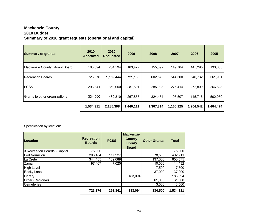## **Mackenzie County 2010 Budget Summary of 2010 grant requests (operational and capital)**

| <b>Summary of grants:</b>      | 2010<br><b>Approved</b> | 2010<br><b>Requested</b> | 2009      |           | 2007      | 2006      | 2005      |
|--------------------------------|-------------------------|--------------------------|-----------|-----------|-----------|-----------|-----------|
| Mackenzie County Library Board | 183,094                 | 204,594                  | 163,477   | 155,692   | 149,704   | 145,295   | 133,665   |
| <b>Recreation Boards</b>       | 723,376                 | 1,159,444                | 721,188   | 602,570   | 544,500   | 640,732   | 561,931   |
| <b>FCSS</b>                    | 293,341                 | 359,050                  | 287,591   | 285,098   | 276,414   | 272,800   | 266,828   |
| Grants to other organizations  | 334,500                 | 462,310                  | 267,855   | 324,454   | 195,507   | 145,715   | 502,050   |
|                                | 1,534,311               | 2,185,398                | 1,440,111 | 1,367,814 | 1,166,125 | 1,204,542 | 1,464,474 |

Specification by location:

| Location                      | <b>Recreation</b><br><b>Boards</b> | <b>FCSS</b> | <b>Mackenzie</b><br>County<br>Library<br><b>Board</b> | <b>Other Grants</b> | <b>Total</b> |
|-------------------------------|------------------------------------|-------------|-------------------------------------------------------|---------------------|--------------|
| 3 Recreation Boards - Capital | 75,000                             |             |                                                       |                     | 75,000       |
| <b>Fort Vermilion</b>         | 206,484                            | 117,227     |                                                       | 78,500              | 402,211      |
| La Crete                      | 344,485                            | 169,089     |                                                       | 137,000             | 650,575      |
| Zama                          | 97,407                             | 7,025       |                                                       | 10,000              | 114,432      |
| High Level                    |                                    |             |                                                       | 7,500               | 7,500        |
| Rocky Lane                    |                                    |             |                                                       | 37,000              | 37,000       |
| Library                       |                                    |             | 183,094                                               |                     | 183,094      |
| Other (Regional)              |                                    |             |                                                       | 61,000              | 61,000       |
| Cemeteries                    |                                    |             |                                                       | 3,500               | 3,500        |
|                               | 723,376                            | 293,341     | 183,094                                               | 334,500             | 1,534,311    |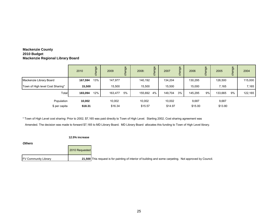## **Mackenzie County 2010 Budget Mackenzie Regional Library Board**

|                                  | 2010    | change | 2009    | ange<br>듕 | 2008:   | change | 2007    | change | 2006    | ange<br>흉 | 2005    | ge<br>juei<br>ठ | 2004    |
|----------------------------------|---------|--------|---------|-----------|---------|--------|---------|--------|---------|-----------|---------|-----------------|---------|
| Mackenzie Library Board          | 167,594 | 13%    | 147,977 |           | 140,192 |        | 134,204 |        | 130,295 |           | 126,500 |                 | 115,000 |
| Town of High level Cost Sharing* | 15,500  |        | 15,500  |           | 15,500  |        | 15,500  |        | 15,000  |           | 7.165   |                 | 7,165   |
| Total                            | 183,094 | 12%    | 163,477 | 5%        | 155,692 | 4%     | 149,704 | 3%     | 145,295 | 9%        | 133,665 | 9%              | 122,165 |
| Population                       | 10,002  |        | 10,002  |           | 10,002  |        | 10,002  |        | 9,687   |           | 9,687   |                 |         |
| \$ per capita                    | \$18.31 |        | \$16.34 |           | \$15.57 |        | \$14.97 |        | \$15.00 |           | \$13.80 |                 |         |

\* Town of High Level cost sharing: Prior to 2002, \$7,165 was paid directly to Town of High Level. Starting 2002, Cost sharing agreement was

Amended. The decision was made to forward \$7,165 to MD Library Board. MD Library Board allocates this funding to Town of High Level library.

#### **12.5% increase**

*Others*

|                             | 2010 Requested |                                                                                                          |
|-----------------------------|----------------|----------------------------------------------------------------------------------------------------------|
| <b>FV Community Library</b> |                | 21,500 This request is for painting of interior of building and some carpeting. Not approved by Council. |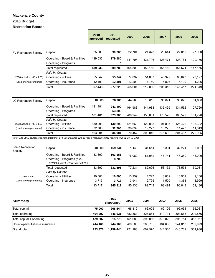## **2010 Budget Recreation Boards Mackenzie County**

|                              |                                | 2010<br>approved | 2010<br>requested | 2009    | 2008    | 2007    | 2006    | 2005    |
|------------------------------|--------------------------------|------------------|-------------------|---------|---------|---------|---------|---------|
|                              |                                |                  |                   |         |         |         |         |         |
| <b>FV Recreation Society</b> | Capital                        | 25,000           | 30,200            | 22.704  | 21,373  | 28.644  | 27,810  | 27.000  |
|                              | Operating - Board & Facilities | 139,036          | 179,580           | 141.796 | 131.796 | 127,474 | 123,761 | 120,156 |
|                              | Operating - Programs           |                  | o                 |         |         |         |         |         |
|                              | Total requested                | 139,036          | 209,780           | 164,500 | 153,169 | 156,118 | 151,571 | 147,156 |
|                              | Paid by County:                |                  |                   |         |         |         |         |         |
| (2008 actual x 1.03 x 1.03)  | Operating - utilities          | 55,047           | 55,047            | 77,892  | 51,887  | 43,372  | 88,647  | 73,197  |
| (used known premiums)        | Operating - insurance          | 12,401           | 12,401            | 13,209  | 7,750   | 5,826   | 5,199   | 1,296   |
|                              | Total                          | 67,448           | 277,228           | 255,601 | 212,806 | 205,316 | 245,417 | 221,649 |

| <b>LC Recreation Society</b> | Capital                                                | 10.000  | 78.700            | 44.966  | 13.018  | 35.071  | 35.020  | 34,000  |
|------------------------------|--------------------------------------------------------|---------|-------------------|---------|---------|---------|---------|---------|
|                              | Operating - Board & Facilities<br>Operating - Programs | 181,481 | 241,400<br>53,800 | 164.983 | 144.983 | 135.499 | 131.552 | 127,720 |
|                              | Total requested                                        | 181.481 | 373.900           | 209.949 | 158,001 | 170.570 | 166.572 | 161,720 |
|                              | Paid by County:                                        |         |                   |         |         |         |         |         |
| (2008 actual x 1.03 x 1.03)  | Operating - utilities                                  | 130,298 | 130.298           | 121.669 | 122.818 | 91.895  | 126.422 | 106,332 |
| (used known premiums)        | Operating - insurance                                  | 32,706  | 32,706            | 38,839  | 19,227  | 13.225  | 11.473  | 11,043  |
|                              | Total                                                  | 163.004 | 536.904           | 370.457 | 300,046 | 275.690 | 304.467 | 279,095 |

*Note: The 2009 capital requests amount of \$44,966 includes \$24,404 for a feasibility study (posted to 2-51-30-00-735).*

| Zama Recreation<br>Society | Capital                                                                                      | 40,000 | 159,744          | 1.149  | 31.614 | 5.391  | 32.221 | 5,081  |
|----------------------------|----------------------------------------------------------------------------------------------|--------|------------------|--------|--------|--------|--------|--------|
|                            | Operating - Board & Facilities<br>Operating - Programs (excl.<br>FCSS & excl. Chamber of C.) | 83,690 | 163,151<br>8,700 | 76.082 | 51,082 | 47.741 | 46.350 | 45.000 |
|                            | Total requested                                                                              | 83.690 | 331,595          | 77,231 | 82,696 | 53.132 | 78.571 | 50.081 |
|                            | Paid by County:                                                                              |        |                  |        |        |        |        |        |
| (estimate)                 | <b>Operating - Utilities</b>                                                                 | 10.000 | 10,000           | 13,959 | 4.227  | 8,862  | 10.909 | 9,106  |
| (used known premiums)      | Operating - Insurance                                                                        | 3,717  | 3,717            | 3,941  | 2,795  | 1,500  | 1,368  | 1,999  |
|                            | Total                                                                                        | 13.717 | 345,312          | 95,130 | 89,718 | 63.494 | 90.848 | 61,186 |

| <b>Summary</b>                    |         | 2010<br><b>Requested</b> | 2009    | 2008    | 2007    | 2006    | 2005    |
|-----------------------------------|---------|--------------------------|---------|---------|---------|---------|---------|
| <b>Total capital</b>              | 75.000  | 268.644                  | 68,819  | 66.005  | 69.106  | 95.051  | 66,081  |
| Total operating                   | 404.207 | 646.631                  | 382.861 | 327.861 | 310.714 | 301.663 | 292.876 |
| Total capital + operating         | 479.207 | 915.275                  | 451.680 | 393.866 | 379.820 | 396.714 | 358,957 |
| County-paid utilities & insurance | 244.169 | 244.169                  | 269.508 | 208.705 | 164.680 | 244.018 | 202.973 |
| <b>Grand total</b>                | 723.376 | 1,159,444                | 721.188 | 602.570 | 544.500 | 640.732 | 561,930 |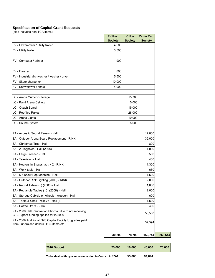#### **Specification of Capital Grant Requests**

(also includes non-TCA items)

|                                                                                                    | FV Rec.        | LC Rec.        | Zama Rec.      |
|----------------------------------------------------------------------------------------------------|----------------|----------------|----------------|
|                                                                                                    | <b>Society</b> | <b>Society</b> | <b>Society</b> |
| FV - Lawnmower / utility trailer                                                                   | 4,500          |                |                |
| FV - Utility trailer                                                                               | 3,500          |                |                |
| FV - Computer / printer                                                                            | 1,900          |                |                |
| FV - Freezer                                                                                       | 800            |                |                |
| FV - Industrial dishwasher / washer / dryer                                                        | 5,500          |                |                |
| FV - Skate sharpener                                                                               | 10,000         |                |                |
| FV - Snowblower / shale                                                                            | 4,000          |                |                |
|                                                                                                    |                |                |                |
| LC - Arena Outdoor Storage                                                                         |                | 15,700         |                |
| LC - Paint Arena Ceiling                                                                           |                | 5,000          |                |
| LC - Quash Board                                                                                   |                | 15,000         |                |
| LC - Roof Ice Rakes                                                                                |                | 28,000         |                |
| LC - Arena Lights                                                                                  |                | 10,000         |                |
| LC - Sound System                                                                                  |                | 5,000          |                |
|                                                                                                    |                |                |                |
| ZA - Acoustic Sound Panels - Hall                                                                  |                |                | 17,000         |
| ZA - Outdoor Arena Board Replacement - RINK                                                        |                |                | 35,000         |
| ZA - Christmas Tree - Hall                                                                         |                |                | 800            |
| ZA - 2 Flagpoles - Hall (2008)                                                                     |                |                | 1,000          |
| ZA - Large Freezer - Hall                                                                          |                |                | 500            |
| ZA - Television - Hall                                                                             |                |                | 400            |
| ZA - Heaters in Skateshack x 2 - RINK                                                              |                |                | 1,300          |
| ZA - Work table - Hall                                                                             |                |                | 650            |
| ZA - 5-6 spout Pop Machine - Hall                                                                  |                |                | 1,500          |
| ZA - Outdoor Rink Lighting (2008) - RINK                                                           |                |                | 2,000          |
| ZA - Round Tables (5) (2008) - Hall                                                                |                |                | 1,000          |
| ZA - Rectangle Tables (10) (2008) - Hall                                                           |                |                | 2,000          |
| ZA - Storage Cubicle on wheels - wooden - Hall                                                     |                |                | 600            |
| ZA - Table & Chair Trolley's - Hall (3)                                                            |                |                | 1,500          |
| ZA - Coffee Urn x 2 - Hall                                                                         |                |                | 400            |
| ZA - 2009 Hall Renovation Shortfall due to not receiving<br>CFEP grant funding applied for in 2009 |                |                | 56,500         |
| ZA - 2009 Additional ZRS Capital Facility Upgrades paid<br>from Fundraised dollars, TCA items etc  |                |                | 37,594         |
|                                                                                                    | 30,200         | 78,700         | 159,744        |

|             |        | $F = 0.00$ | $\sim$ $\sim$ $\sim$ $\sim$ |         |
|-------------|--------|------------|-----------------------------|---------|
| 2010 Budget | 25,000 | 10,000     | 40,000                      | 75,000  |
|             | 30,200 | 78,700     |                             | 268,644 |
|             |        |            | 159,744                     |         |

**To be dealt with by a separate motion in Council in 2009 55,000 94,094**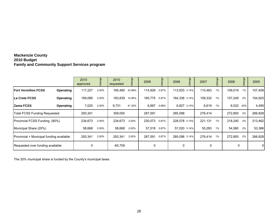## **Mackenzie County 2010 Budget Family and Community Support Services program**

|                                           |           | 2010<br>approved | nge<br>cha | 2010<br>requested | pp     | 2009    | ange  | 2008          | ange        | 2007    | ange  | 2006    | change | 2005           |
|-------------------------------------------|-----------|------------------|------------|-------------------|--------|---------|-------|---------------|-------------|---------|-------|---------|--------|----------------|
| <b>Fort Vermilion FCSS</b>                | Operating | 117,227          | 2.00%      | 165,480           | 43.98% | 114,929 | 0.87% | 113,933 3.14% |             | 110,463 | 1%    | 109,019 | $1\%$  | 107,408        |
| La Crete FCSS                             | Operating | 169,089          | 2.00%      | 183,839           | 10.90% | 165,775 | 0.87% | 164.338 3.14% |             | 159,332 | $1\%$ | 157,249 | 2%     | 154,925        |
| <b>Zama FCSS</b>                          | Operating | 7,025            | 2.00%      | 9,731             | 41.30% | 6,887   | 0.88% |               | 6,827 3.14% | 6,619   | $1\%$ | 6,532   | 45%    | 4.495          |
| Total FCSS Funding Requested:             |           | 293,341          |            | 359,050           |        | 287,591 |       | 285,098       |             | 276,414 |       | 272,800 | 2%     | 266,828        |
| Provincial FCSS Funding (80%)             |           | 234,673          | 2.00%      | 234,673           | 2.00%  | 230,073 | 0.87% | 228.078 3.14% |             | 221,131 | $1\%$ | 218,240 | 2%     | 213,462        |
| Municipal Share (20%)                     |           | 58,668           | 2.00%      | 58,668            | 2.00%  | 57,518  | 0.87% | 57.020 3.14%  |             | 55,283  | $1\%$ | 54,560  | 2%     | 53,366         |
| Provincial + Municipal funding available: |           | 293,341          | 2.00%      | 293,341           | 2.00%  | 287,591 | 0.87% | 285.098 3.14% |             | 276.414 | $1\%$ | 272,800 | 2%     | 266,828        |
| Requested over funding available:         |           | 0                |            | $-65,709$         |        | 0       |       | 0             |             | 0       |       | 0       |        | $\overline{0}$ |

The 20% municipal share is funded by the County's municipal taxes.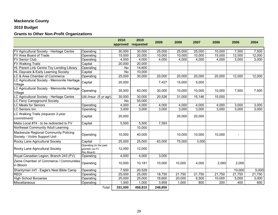## **Mackenzie County**

## **2010 Budget**

## **Grants to Other Non-Profit Organizations**

|                                                                        |                                                        |        | 2010<br>approved | 2010<br>requested | 2009    | 2008   | 2007   | 2006   | 2005           | 2004   |
|------------------------------------------------------------------------|--------------------------------------------------------|--------|------------------|-------------------|---------|--------|--------|--------|----------------|--------|
| FV Agricultural Society - Heritage Centre                              | Operating                                              |        | 30,000           | 30,000            | 25,000  | 25,000 | 25,000 | 10,000 | 7,500          | 7,500  |
| FV Area Board of Trade                                                 | Operating                                              |        | 15,000           | 20,000            | 10,000  | 10,000 | 10,000 | 15,000 | 12,000         | 12,000 |
| <b>FV Senior Club</b>                                                  | Operating                                              |        | 4,000            | 4,000             | 4,000   | 4,000  | 4,000  | 4,000  | 3,000          | 3,000  |
| <b>FV Walking Trails</b>                                               | Capital                                                |        | 20,000           | 20,000            |         |        |        |        |                |        |
| HL Parent Link Centre Toy Lending Library                              | Operating                                              |        | <b>No</b>        | 14,600            |         |        |        |        |                |        |
| HL Daycare & Early Learning Society                                    | Capital                                                |        | <b>No</b>        | 10,000            |         |        |        |        |                |        |
| C & Area Chamber of Commerce                                           | Operating                                              |        | 25,000           | 30,000            | 20,000  | 20,000 | 20,000 | 20,000 | 12,000         | 12,000 |
| C Agricultural Society - Mennonite Heritage<br>Village                 | Capital                                                |        | 20,000           |                   | 7,427   | 15,000 | 5,000  |        |                |        |
| C Agricultural Society - Mennonite Heritage<br>Village                 | Operating                                              |        | 35,000           | 60,000            | 30,000  | 10,000 | 10,000 | 10,000 | 7,500          | 7,500  |
| C Agricultural Society - Heritage Centre                               | Util./insur. (5 yr agr).                               |        | 30,000           | 30,000            | 20,526  | 31,000 | 15,146 | 10,000 |                |        |
| LC Ferry Campground Society                                            |                                                        |        | No               | 55,000            |         |        |        |        |                |        |
| C Meals for Seniors                                                    | Operating                                              |        | 4,000            | 4,000             | 4,000   | 4,000  | 4,000  | 4,000  | 3,000          | 3,000  |
| C Seniors Inn                                                          | Operating                                              |        | 3,000            | 3,000             | 3,000   | 3,000  | 3,000  | 3,000  | 3,000          | 3,000  |
| LC Walking Trails (requests 3-year<br>commitment)                      | Capital                                                |        | 20,000           |                   |         | 20,000 | 20,000 |        |                |        |
| Metis Local #74 - to be redirected to FV                               | Capital                                                |        | 5,500            | 5,500             | 7,593   |        |        |        |                |        |
| Northeast Community Adult Learning                                     |                                                        |        |                  | 10,000            |         |        |        |        |                |        |
| Mackenzie Regional Community Policing<br>Society - Victim Support Unit | Operating                                              |        | 10,000           | 40,000            |         | 10,000 | 10,000 | 10,000 | $\blacksquare$ |        |
| Rocky Lane Agricultural Society                                        | Capital                                                |        | 25,000           | 25,000            | 63,000  | 75,000 | 3,000  |        |                |        |
| Rocky Lane Agricultural Society                                        | Operating (in the past<br>granted via FV<br>Rec.Board) |        | 12,000           | 12,000            |         |        |        |        |                |        |
| Royal Canadian Legion, Branch 243 (FV)                                 | Operating                                              |        | 4,000            | 4,000             | 3,000   |        |        |        |                |        |
| Zama Chamber of Commerce / Communities<br>in Bloom                     | Operating                                              |        | 10,000           | 10,181            | 10,000  | 10,000 | 4,000  | 2,060  | 2,000          |        |
| Shantyman Int'l - Eagle's Nest Bible Camp                              | Operating                                              |        | 7,500            | 20,529            |         |        |        |        | 10,000         | 5,000  |
| <b>REDI</b>                                                            | Operating                                              |        | 25,000           | 25,000            | 18,750  | 21,750 | 21,750 | 21,750 | 21,750         | 21,750 |
| <b>High School Bursaries</b>                                           | Operating                                              |        | 25,000           | 25,000            | 18,600  | 20,000 | 6,500  | 10,000 | 5,000          | 3,000  |
| Miscellaneous                                                          | Operating                                              |        | 1,000            | 1,000             | 3,959   | 1,000  | 800    | 200    | 400            | 650    |
|                                                                        |                                                        | Total: | 331,000          | 458,810           | 248,855 |        |        |        |                |        |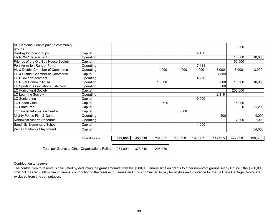| AB Centenial Grants paid to community        |                     |         |         |         |         |         |         | 8,000   |         |
|----------------------------------------------|---------------------|---------|---------|---------|---------|---------|---------|---------|---------|
| groups                                       |                     |         |         |         |         |         |         |         |         |
| Bar-b-q for local groups                     | Capital             |         |         |         |         | 4,450   |         |         |         |
| <b>FV RCMP detachment</b>                    | Operating           |         |         |         |         |         |         | 18,000  | 18,000  |
| Friends of the Old Bay House Society         | Capital             |         |         |         |         |         |         | 150,000 |         |
| Fort Vermilion Ranger Patrol                 | Operating           |         |         |         |         | 7,111   |         |         |         |
| <b>HL &amp; District Chamber of Commerce</b> | Operating           |         |         | 4,000   | 4,000   | 4,000   | 3,000   | 3,000   | 3,000   |
| HL & District Chamber of Commerce            | Capital             |         |         |         |         |         | 7,889   |         |         |
| <b>IHL RCMP detachment</b>                   | Operating           |         |         |         |         | 4,250   |         |         |         |
| <b>HL Rural Community Hall</b>               | Operating           |         |         | 10,000  |         |         | 8,000   | 10,900  | 10,900  |
| HL Sporting Association- Fish Pond           | Operating           |         |         |         |         |         | 500     |         |         |
| <b>LC Agricultural Society</b>               | Capital             |         |         |         |         |         |         | 200,000 |         |
| LC Learning Society                          | Operating           |         |         |         |         |         | 2,316   |         |         |
| LC Seniors Inn                               | Capital             |         |         |         |         | 9,500   |         |         |         |
| LC Rodeo Club                                | Capital             |         |         | 1,500   |         |         |         | 15,000  |         |
| <b>LC Skate Park</b>                         | Capital             |         |         |         |         |         |         | 0       | 21,200  |
| <b>ILC Tourist Information Centre</b>        | Capital             |         |         |         | 5,000   |         |         |         |         |
| Mighty Peace Fish & Game                     | Operating           |         |         |         |         |         | 500     |         | 4,000   |
| Northwest Alberta Resource                   | Operating           |         |         |         |         |         |         | 7,000   | 7,000   |
| Sandhills Elementary School                  | Capital             |         |         |         |         | 4,000   |         |         |         |
| Zama Children's Playground                   | Capital             |         |         |         |         |         |         |         | 54,000  |
|                                              |                     |         |         |         |         |         |         |         |         |
|                                              | <b>Grand totals</b> | 331,000 | 458,810 | 264,355 | 288,750 | 195,507 | 142,215 | 499,050 | 196,500 |

 251,000 378,810 206,479 Total per Grants to Other Organizations Policy

Contribution to reserve:

The contribution to reserve is calculated by deducting the grant amounts from the \$200,000 annual limit on grants to other non-profit groups set by Council; the \$200,000 limit includes \$20,000 minimum annual contribution to the reserve; bursaries and funds committed to pay for utilities and insurance for the La Crete Heritage Centre are excluded from this computation.